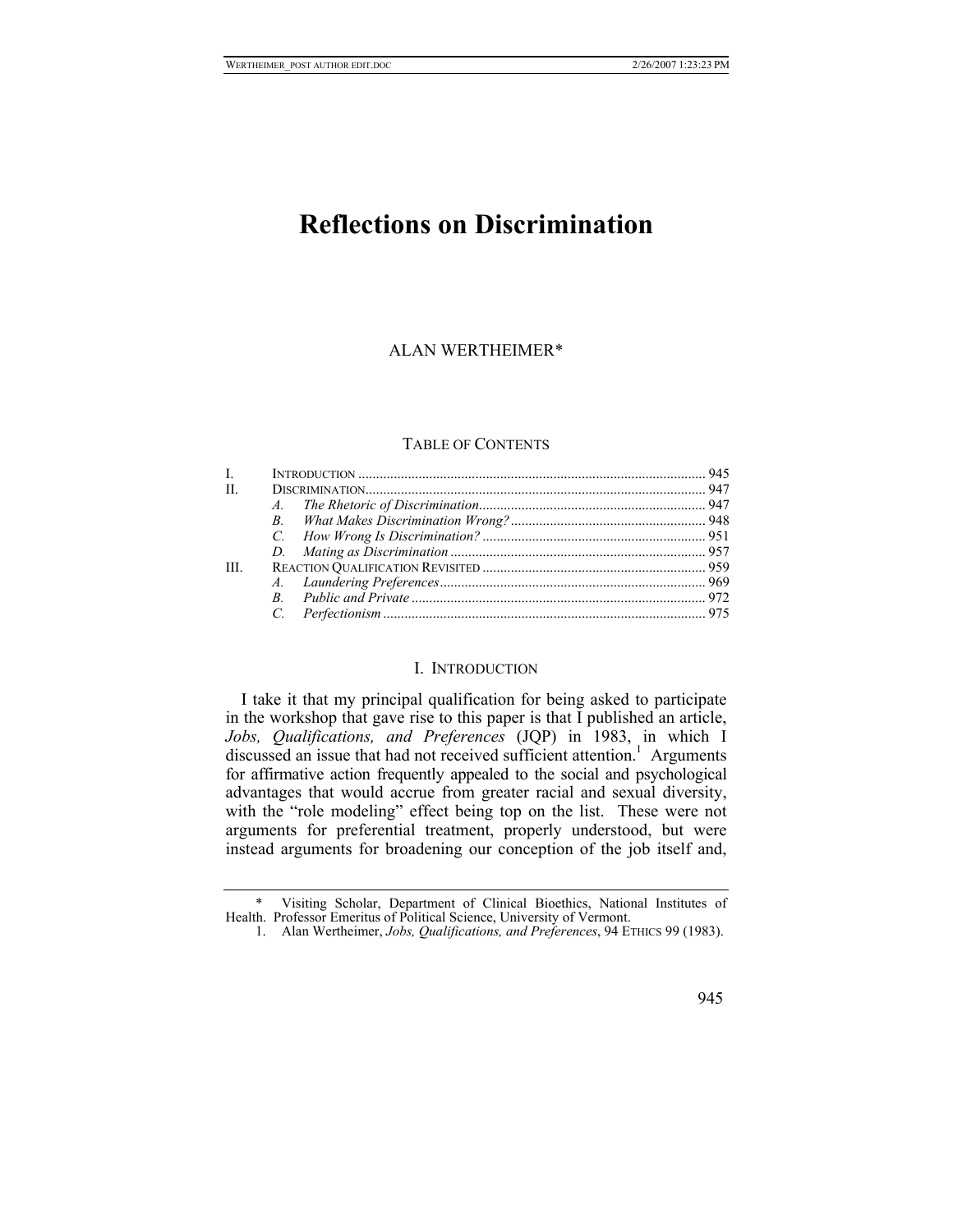# **Reflections on Discrimination**

# ALAN WERTHEIME[R\\*](#page-0-0)

# TABLE OF CONTENTS

| $L =$ |  |
|-------|--|
| H.    |  |
|       |  |
|       |  |
|       |  |
|       |  |
| III.  |  |
|       |  |
|       |  |
|       |  |

## I. INTRODUCTION

I take it that my principal qualification for being asked to participate in the workshop that gave rise to this paper is that I published an article, *Jobs, Qualifications, and Preferences* (JQP) in 1983, in which I discussed an issue that had not received sufficient attention.<sup>1</sup> Arguments for affirmative action frequently appealed to the social and psychological advantages that would accrue from greater racial and sexual diversity, with the "role modeling" effect being top on the list. These were not arguments for preferential treatment, properly understood, but were instead arguments for broadening our conception of the job itself and,

945

 <sup>\*</sup> Visiting Scholar, Department of Clinical Bioethics, National Institutes of Health. Professor Emeritus of Political Science, University of Vermont.

<span id="page-0-1"></span><span id="page-0-0"></span><sup>1.</sup> Alan Wertheimer, *Jobs, Qualifications, and Preferences*, 94 ETHICS 99 (1983).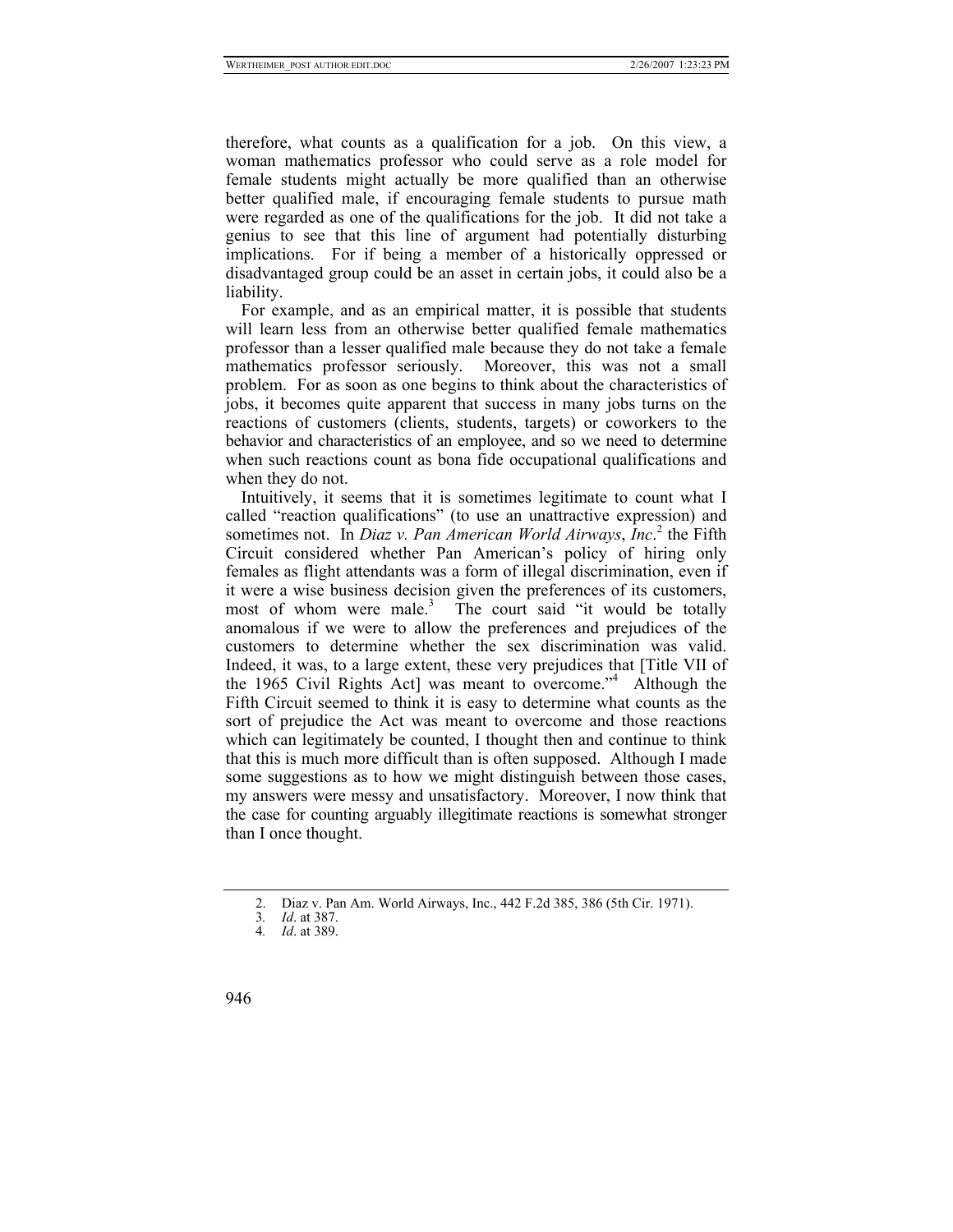therefore, what counts as a qualification for a job. On this view, a woman mathematics professor who could serve as a role model for female students might actually be more qualified than an otherwise better qualified male, if encouraging female students to pursue math were regarded as one of the qualifications for the job. It did not take a genius to see that this line of argument had potentially disturbing implications. For if being a member of a historically oppressed or disadvantaged group could be an asset in certain jobs, it could also be a liability.

For example, and as an empirical matter, it is possible that students will learn less from an otherwise better qualified female mathematics professor than a lesser qualified male because they do not take a female mathematics professor seriously. Moreover, this was not a small problem. For as soon as one begins to think about the characteristics of jobs, it becomes quite apparent that success in many jobs turns on the reactions of customers (clients, students, targets) or coworkers to the behavior and characteristics of an employee, and so we need to determine when such reactions count as bona fide occupational qualifications and when they do not.

Intuitively, it seems that it is sometimes legitimate to count what I called "reaction qualifications" (to use an unattractive expression) and sometimesnot. In *Diaz v. Pan American World Airways*, *Inc.*<sup>2</sup> the Fifth Circuit considered whether Pan American's policy of hiring only females as flight attendants was a form of illegal discrimination, even if it were a wise business decision given the preferences of its customers, most of whom were male.<sup>[3](#page-1-1)</sup> The court said "it would be totally anomalous if we were to allow the preferences and prejudices of the customers to determine whether the sex discrimination was valid. Indeed, it was, to a large extent, these very prejudices that [Title VII of the 1965 Civil Rights Act] was meant to overcome."[4](#page-1-2) Although the Fifth Circuit seemed to think it is easy to determine what counts as the sort of prejudice the Act was meant to overcome and those reactions which can legitimately be counted, I thought then and continue to think that this is much more difficult than is often supposed. Although I made some suggestions as to how we might distinguish between those cases, my answers were messy and unsatisfactory. Moreover, I now think that the case for counting arguably illegitimate reactions is somewhat stronger than I once thought.

<span id="page-1-0"></span><sup>2.</sup> Diaz v. Pan Am. World Airways, Inc., 442 F.2d 385, 386 (5th Cir. 1971).

<span id="page-1-1"></span><sup>3</sup>*. Id*. at 387.

<span id="page-1-2"></span><sup>4</sup>*. Id*. at 389.

<sup>946</sup>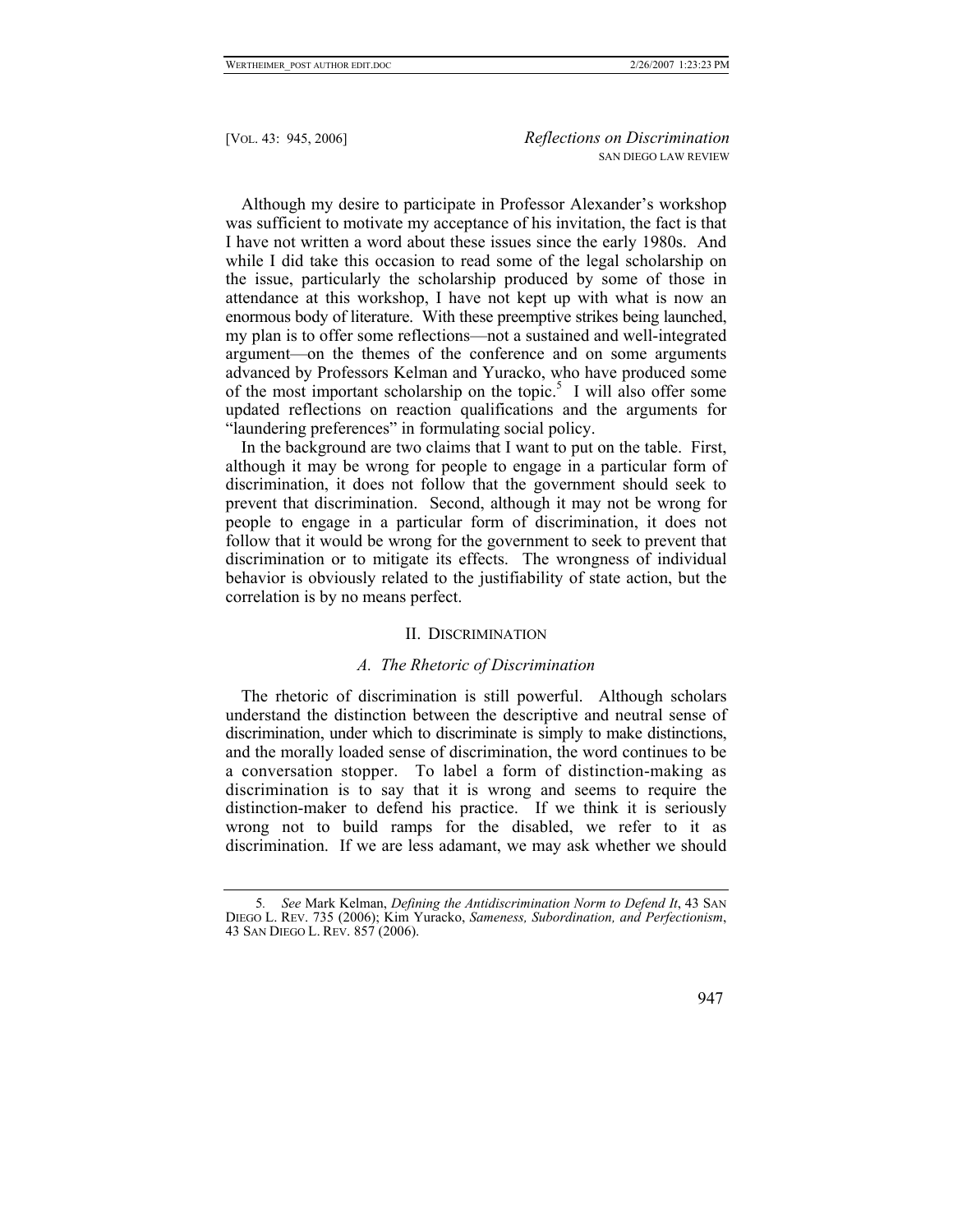Although my desire to participate in Professor Alexander's workshop was sufficient to motivate my acceptance of his invitation, the fact is that I have not written a word about these issues since the early 1980s. And while I did take this occasion to read some of the legal scholarship on the issue, particularly the scholarship produced by some of those in attendance at this workshop, I have not kept up with what is now an enormous body of literature. With these preemptive strikes being launched, my plan is to offer some reflections—not a sustained and well-integrated argument—on the themes of the conference and on some arguments advanced by Professors Kelman and Yuracko, who have produced some ofthe most important scholarship on the topic.<sup>5</sup> I will also offer some updated reflections on reaction qualifications and the arguments for "laundering preferences" in formulating social policy.

In the background are two claims that I want to put on the table. First, although it may be wrong for people to engage in a particular form of discrimination, it does not follow that the government should seek to prevent that discrimination. Second, although it may not be wrong for people to engage in a particular form of discrimination, it does not follow that it would be wrong for the government to seek to prevent that discrimination or to mitigate its effects. The wrongness of individual behavior is obviously related to the justifiability of state action, but the correlation is by no means perfect.

#### II. DISCRIMINATION

### *A. The Rhetoric of Discrimination*

The rhetoric of discrimination is still powerful. Although scholars understand the distinction between the descriptive and neutral sense of discrimination, under which to discriminate is simply to make distinctions, and the morally loaded sense of discrimination, the word continues to be a conversation stopper. To label a form of distinction-making as discrimination is to say that it is wrong and seems to require the distinction-maker to defend his practice. If we think it is seriously wrong not to build ramps for the disabled, we refer to it as discrimination. If we are less adamant, we may ask whether we should

# 947

<span id="page-2-0"></span><sup>5</sup>*. See* Mark Kelman, *Defining the Antidiscrimination Norm to Defend It*, 43 SAN DIEGO L. REV. 735 (2006); Kim Yuracko, *Sameness, Subordination, and Perfectionism*, 43 SAN DIEGO L. REV. 857 (2006).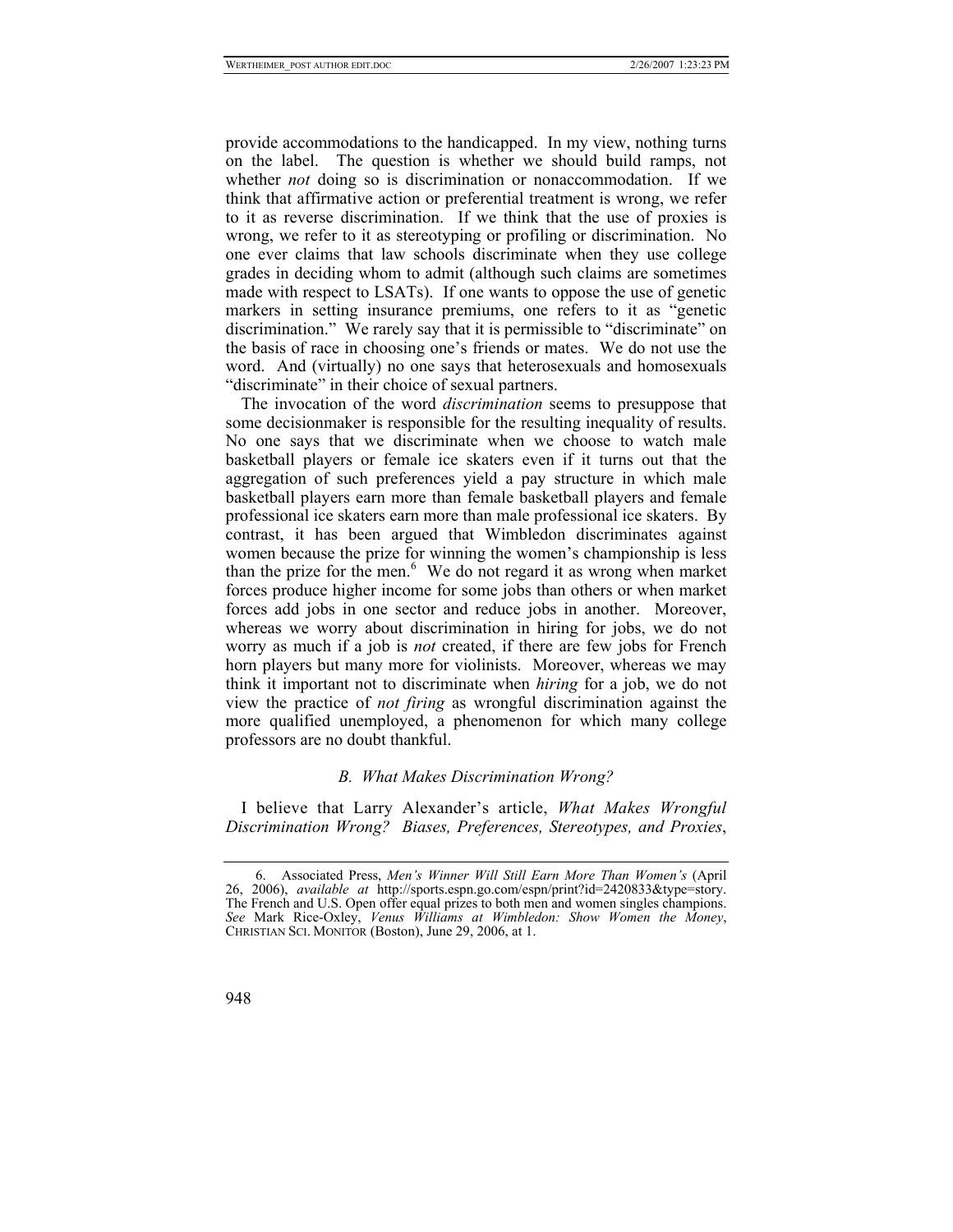provide accommodations to the handicapped. In my view, nothing turns on the label. The question is whether we should build ramps, not whether *not* doing so is discrimination or nonaccommodation. If we think that affirmative action or preferential treatment is wrong, we refer to it as reverse discrimination. If we think that the use of proxies is wrong, we refer to it as stereotyping or profiling or discrimination. No one ever claims that law schools discriminate when they use college grades in deciding whom to admit (although such claims are sometimes made with respect to LSATs). If one wants to oppose the use of genetic markers in setting insurance premiums, one refers to it as "genetic discrimination." We rarely say that it is permissible to "discriminate" on the basis of race in choosing one's friends or mates. We do not use the word. And (virtually) no one says that heterosexuals and homosexuals "discriminate" in their choice of sexual partners.

The invocation of the word *discrimination* seems to presuppose that some decisionmaker is responsible for the resulting inequality of results. No one says that we discriminate when we choose to watch male basketball players or female ice skaters even if it turns out that the aggregation of such preferences yield a pay structure in which male basketball players earn more than female basketball players and female professional ice skaters earn more than male professional ice skaters. By contrast, it has been argued that Wimbledon discriminates against women because the prize for winning the women's championship is less thanthe prize for the men.<sup>6</sup> We do not regard it as wrong when market forces produce higher income for some jobs than others or when market forces add jobs in one sector and reduce jobs in another. Moreover, whereas we worry about discrimination in hiring for jobs, we do not worry as much if a job is *not* created, if there are few jobs for French horn players but many more for violinists. Moreover, whereas we may think it important not to discriminate when *hiring* for a job, we do not view the practice of *not firing* as wrongful discrimination against the more qualified unemployed, a phenomenon for which many college professors are no doubt thankful.

### *B. What Makes Discrimination Wrong?*

I believe that Larry Alexander's article, *What Makes Wrongful Discrimination Wrong? Biases, Preferences, Stereotypes, and Proxies*,

<span id="page-3-0"></span><sup>6.</sup> Associated Press, *Men's Winner Will Still Earn More Than Women's* (April 26, 2006), *available at* http://sports.espn.go.com/espn/print?id=2420833&type=story. The French and U.S. Open offer equal prizes to both men and women singles champions. *See* Mark Rice-Oxley, *Venus Williams at Wimbledon: Show Women the Money*, CHRISTIAN SCI. MONITOR (Boston), June 29, 2006, at 1.

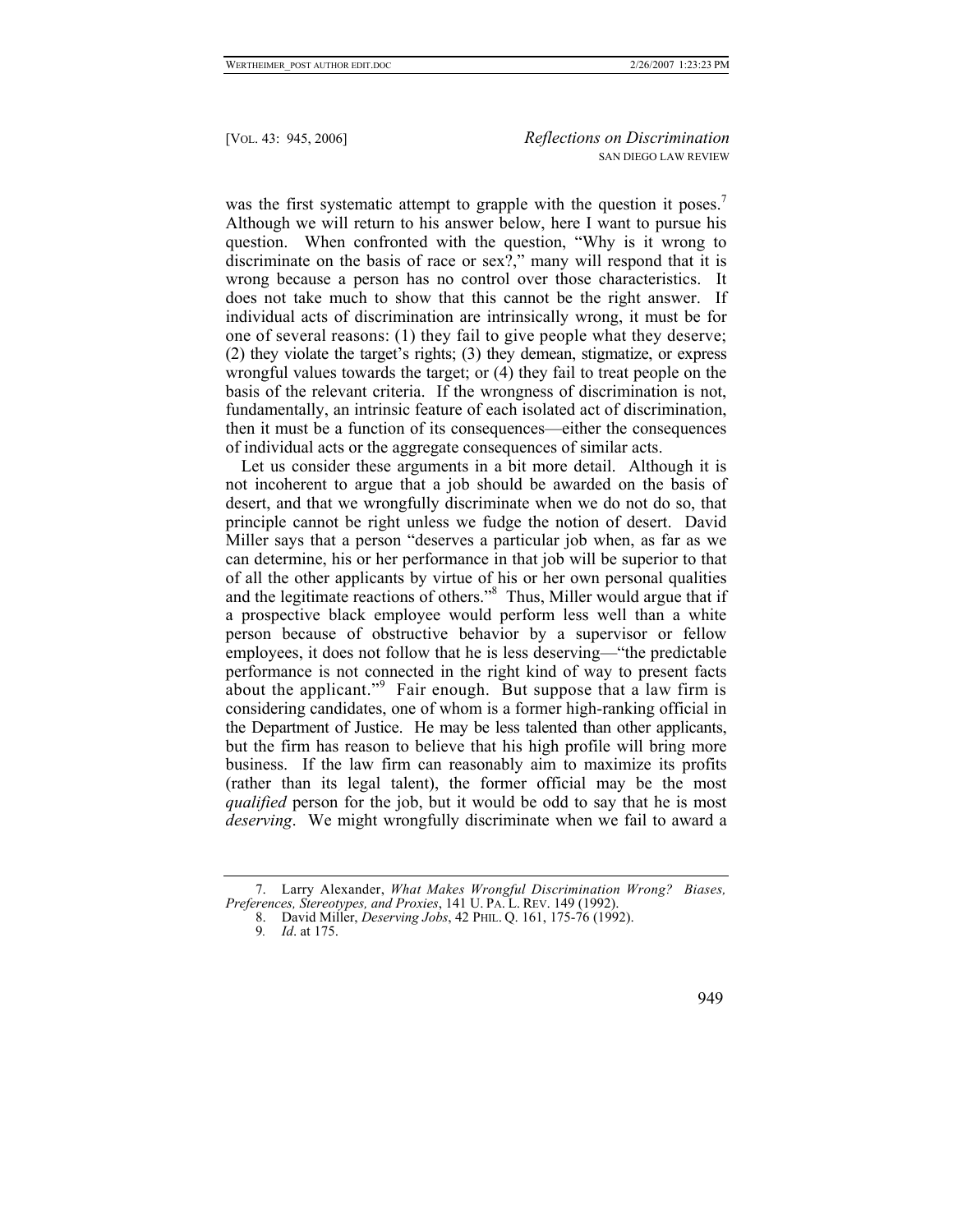was the first systematic attempt to grapple with the question it poses.<sup>[7](#page-4-0)</sup> Although we will return to his answer below, here I want to pursue his question. When confronted with the question, "Why is it wrong to discriminate on the basis of race or sex?," many will respond that it is wrong because a person has no control over those characteristics. It does not take much to show that this cannot be the right answer. If individual acts of discrimination are intrinsically wrong, it must be for one of several reasons: (1) they fail to give people what they deserve; (2) they violate the target's rights; (3) they demean, stigmatize, or express wrongful values towards the target; or (4) they fail to treat people on the basis of the relevant criteria. If the wrongness of discrimination is not, fundamentally, an intrinsic feature of each isolated act of discrimination, then it must be a function of its consequences—either the consequences of individual acts or the aggregate consequences of similar acts.

Let us consider these arguments in a bit more detail. Although it is not incoherent to argue that a job should be awarded on the basis of desert, and that we wrongfully discriminate when we do not do so, that principle cannot be right unless we fudge the notion of desert. David Miller says that a person "deserves a particular job when, as far as we can determine, his or her performance in that job will be superior to that of all the other applicants by virtue of his or her own personal qualities and the legitimate reactions of others.["8](#page-4-1) Thus, Miller would argue that if a prospective black employee would perform less well than a white person because of obstructive behavior by a supervisor or fellow employees, it does not follow that he is less deserving—"the predictable performance is not connected in the right kind of way to present facts about the applicant."<sup>[9](#page-4-2)</sup> Fair enough. But suppose that a law firm is considering candidates, one of whom is a former high-ranking official in the Department of Justice. He may be less talented than other applicants, but the firm has reason to believe that his high profile will bring more business. If the law firm can reasonably aim to maximize its profits (rather than its legal talent), the former official may be the most *qualified* person for the job, but it would be odd to say that he is most *deserving*. We might wrongfully discriminate when we fail to award a

949

<sup>7.</sup> Larry Alexander, *What Makes Wrongful Discrimination Wrong? Biases, Preferences, Stereotypes, and Proxies*, 141 U. PA. L. REV. 149 (1992).

<span id="page-4-1"></span><span id="page-4-0"></span><sup>8.</sup> David Miller, *Deserving Jobs*, 42 PHIL. Q. 161, 175-76 (1992).

<span id="page-4-2"></span><sup>9</sup>*. Id*. at 175.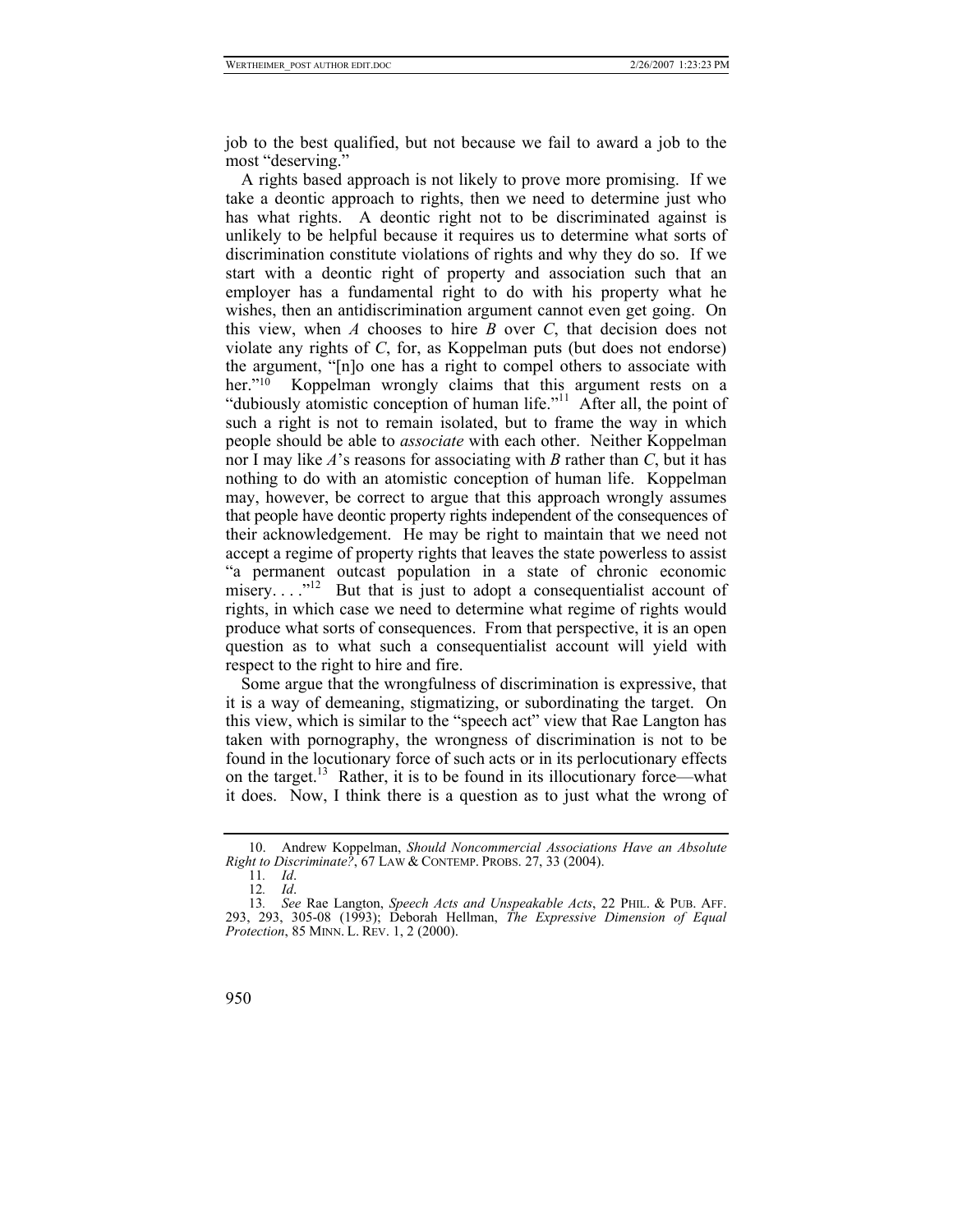job to the best qualified, but not because we fail to award a job to the most "deserving."

A rights based approach is not likely to prove more promising. If we take a deontic approach to rights, then we need to determine just who has what rights. A deontic right not to be discriminated against is unlikely to be helpful because it requires us to determine what sorts of discrimination constitute violations of rights and why they do so. If we start with a deontic right of property and association such that an employer has a fundamental right to do with his property what he wishes, then an antidiscrimination argument cannot even get going. On this view, when *A* chooses to hire *B* over *C*, that decision does not violate any rights of *C*, for, as Koppelman puts (but does not endorse) the argument, "[n]o one has a right to compel others to associate with her."<sup>10</sup> Koppelman wrongly claims that this argument rests on a "dubiously atomistic conception of human life."[11](#page-5-1) After all, the point of such a right is not to remain isolated, but to frame the way in which people should be able to *associate* with each other. Neither Koppelman nor I may like *A*'s reasons for associating with *B* rather than *C*, but it has nothing to do with an atomistic conception of human life. Koppelman may, however, be correct to argue that this approach wrongly assumes that people have deontic property rights independent of the consequences of their acknowledgement. He may be right to maintain that we need not accept a regime of property rights that leaves the state powerless to assist "a permanent outcast population in a state of chronic economic misery...."<sup>12</sup> But that is just to adopt a consequentialist account of rights, in which case we need to determine what regime of rights would produce what sorts of consequences. From that perspective, it is an open question as to what such a consequentialist account will yield with respect to the right to hire and fire.

Some argue that the wrongfulness of discrimination is expressive, that it is a way of demeaning, stigmatizing, or subordinating the target. On this view, which is similar to the "speech act" view that Rae Langton has taken with pornography, the wrongness of discrimination is not to be found in the locutionary force of such acts or in its perlocutionary effects on the target.<sup>13</sup> Rather, it is to be found in its illocutionary force—what it does. Now, I think there is a question as to just what the wrong of

<span id="page-5-0"></span><sup>10.</sup> Andrew Koppelman, *Should Noncommercial Associations Have an Absolute Right to Discriminate?*, 67 LAW & CONTEMP. PROBS. 27, 33 (2004).

<span id="page-5-1"></span><sup>11</sup>*. Id*.

<span id="page-5-3"></span><span id="page-5-2"></span><sup>12</sup>*. Id*.

<sup>13</sup>*. See* Rae Langton, *Speech Acts and Unspeakable Acts*, 22 PHIL. & PUB. AFF. 293, 293, 305-08 (1993); Deborah Hellman, *The Expressive Dimension of Equal Protection*, 85 MINN. L. REV. 1, 2 (2000).

<sup>950</sup>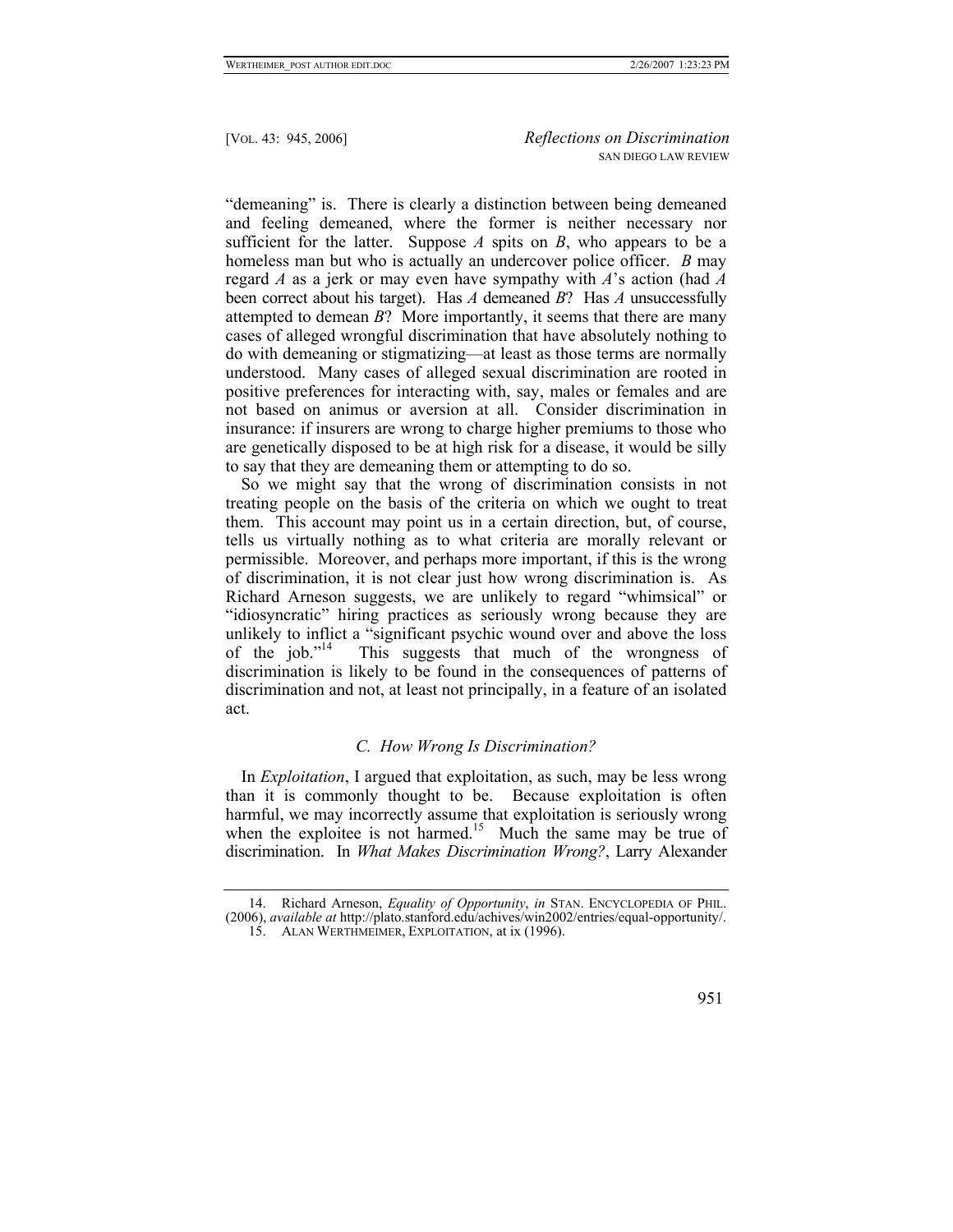"demeaning" is. There is clearly a distinction between being demeaned and feeling demeaned, where the former is neither necessary nor sufficient for the latter. Suppose  $A$  spits on  $B$ , who appears to be a homeless man but who is actually an undercover police officer. *B* may regard *A* as a jerk or may even have sympathy with *A*'s action (had *A* been correct about his target). Has *A* demeaned *B*? Has *A* unsuccessfully attempted to demean *B*? More importantly, it seems that there are many cases of alleged wrongful discrimination that have absolutely nothing to do with demeaning or stigmatizing—at least as those terms are normally understood. Many cases of alleged sexual discrimination are rooted in positive preferences for interacting with, say, males or females and are not based on animus or aversion at all. Consider discrimination in insurance: if insurers are wrong to charge higher premiums to those who are genetically disposed to be at high risk for a disease, it would be silly to say that they are demeaning them or attempting to do so.

So we might say that the wrong of discrimination consists in not treating people on the basis of the criteria on which we ought to treat them. This account may point us in a certain direction, but, of course, tells us virtually nothing as to what criteria are morally relevant or permissible. Moreover, and perhaps more important, if this is the wrong of discrimination, it is not clear just how wrong discrimination is. As Richard Arneson suggests, we are unlikely to regard "whimsical" or "idiosyncratic" hiring practices as seriously wrong because they are unlikely to inflict a "significant psychic wound over and above the loss of the  $\mu$  iob."<sup>14</sup> This suggests that much of the wrongness of This suggests that much of the wrongness of discrimination is likely to be found in the consequences of patterns of discrimination and not, at least not principally, in a feature of an isolated act.

## *C. How Wrong Is Discrimination?*

In *Exploitation*, I argued that exploitation, as such, may be less wrong than it is commonly thought to be. Because exploitation is often harmful, we may incorrectly assume that exploitation is seriously wrong when the exploitee is not harmed.<sup>15</sup> Much the same may be true of discrimination. In *What Makes Discrimination Wrong?*, Larry Alexander

<span id="page-6-1"></span><sup>15.</sup> ALAN WERTHMEIMER, EXPLOITATION, at ix (1996).



<span id="page-6-0"></span><sup>14.</sup> Richard Arneson, *Equality of Opportunity*, *in* STAN. ENCYCLOPEDIA OF PHIL. (2006), *available at* http://plato.stanford.edu/achives/win2002/entries/equal-opportunity/.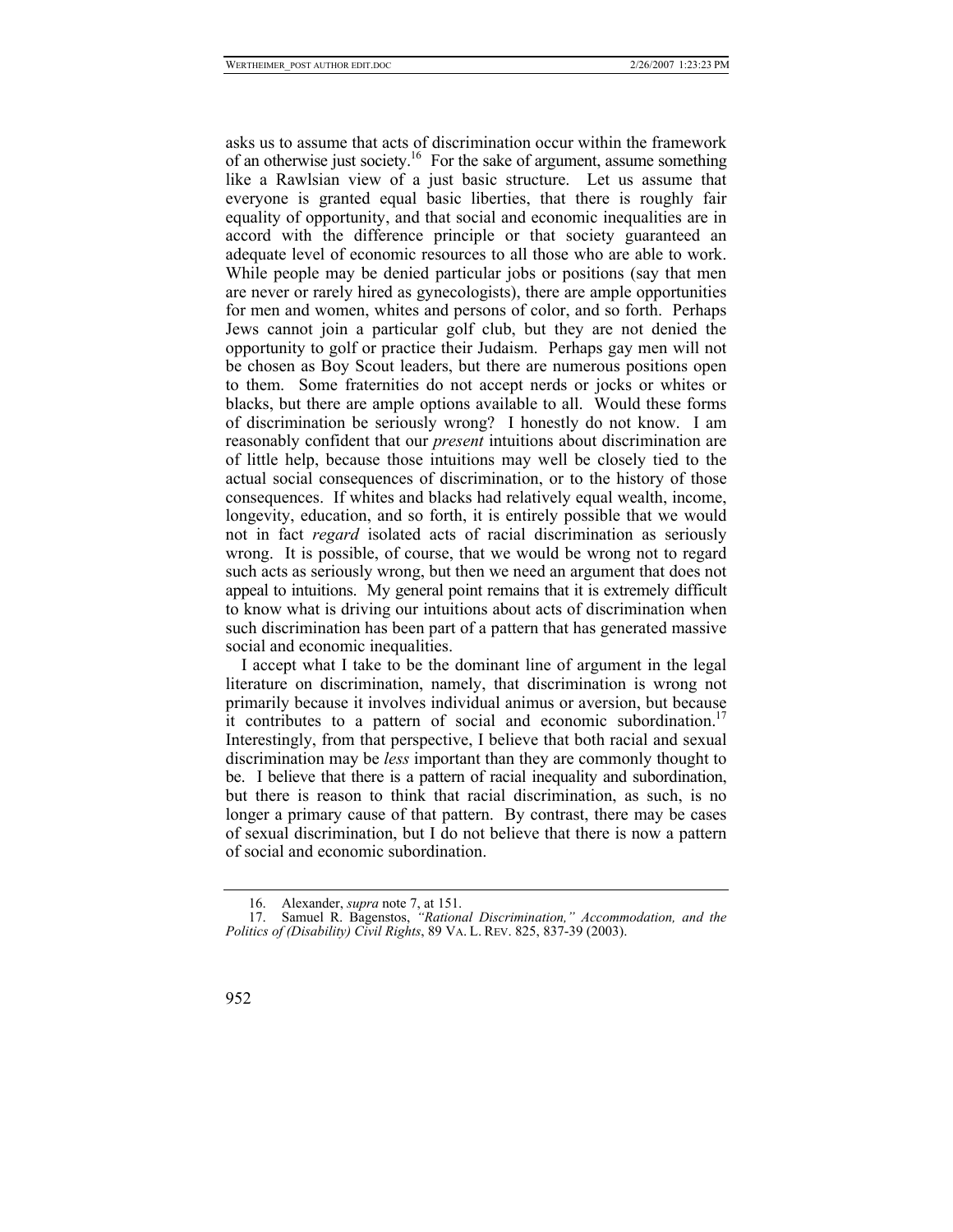asks us to assume that acts of discrimination occur within the framework of an otherwise just society.<sup>16</sup> For the sake of argument, assume something like a Rawlsian view of a just basic structure. Let us assume that everyone is granted equal basic liberties, that there is roughly fair equality of opportunity, and that social and economic inequalities are in accord with the difference principle or that society guaranteed an adequate level of economic resources to all those who are able to work. While people may be denied particular jobs or positions (say that men are never or rarely hired as gynecologists), there are ample opportunities for men and women, whites and persons of color, and so forth. Perhaps Jews cannot join a particular golf club, but they are not denied the opportunity to golf or practice their Judaism. Perhaps gay men will not be chosen as Boy Scout leaders, but there are numerous positions open to them. Some fraternities do not accept nerds or jocks or whites or blacks, but there are ample options available to all. Would these forms of discrimination be seriously wrong? I honestly do not know. I am reasonably confident that our *present* intuitions about discrimination are of little help, because those intuitions may well be closely tied to the actual social consequences of discrimination, or to the history of those consequences. If whites and blacks had relatively equal wealth, income, longevity, education, and so forth, it is entirely possible that we would not in fact *regard* isolated acts of racial discrimination as seriously wrong. It is possible, of course, that we would be wrong not to regard such acts as seriously wrong, but then we need an argument that does not appeal to intuitions. My general point remains that it is extremely difficult to know what is driving our intuitions about acts of discrimination when such discrimination has been part of a pattern that has generated massive social and economic inequalities.

I accept what I take to be the dominant line of argument in the legal literature on discrimination, namely, that discrimination is wrong not primarily because it involves individual animus or aversion, but because it contributes to a pattern of social and economic subordination.<sup>17</sup> Interestingly, from that perspective, I believe that both racial and sexual discrimination may be *less* important than they are commonly thought to be. I believe that there is a pattern of racial inequality and subordination, but there is reason to think that racial discrimination, as such, is no longer a primary cause of that pattern. By contrast, there may be cases of sexual discrimination, but I do not believe that there is now a pattern of social and economic subordination.

<sup>17.</sup> Samuel R. Bagenstos, *"Rational Discrimination," Accommodation, and the Politics of (Disability) Civil Rights*, 89 VA. L. REV. 825, 837-39 (2003).



<span id="page-7-1"></span><span id="page-7-0"></span><sup>16.</sup> Alexander, *supra* note 7, at 151.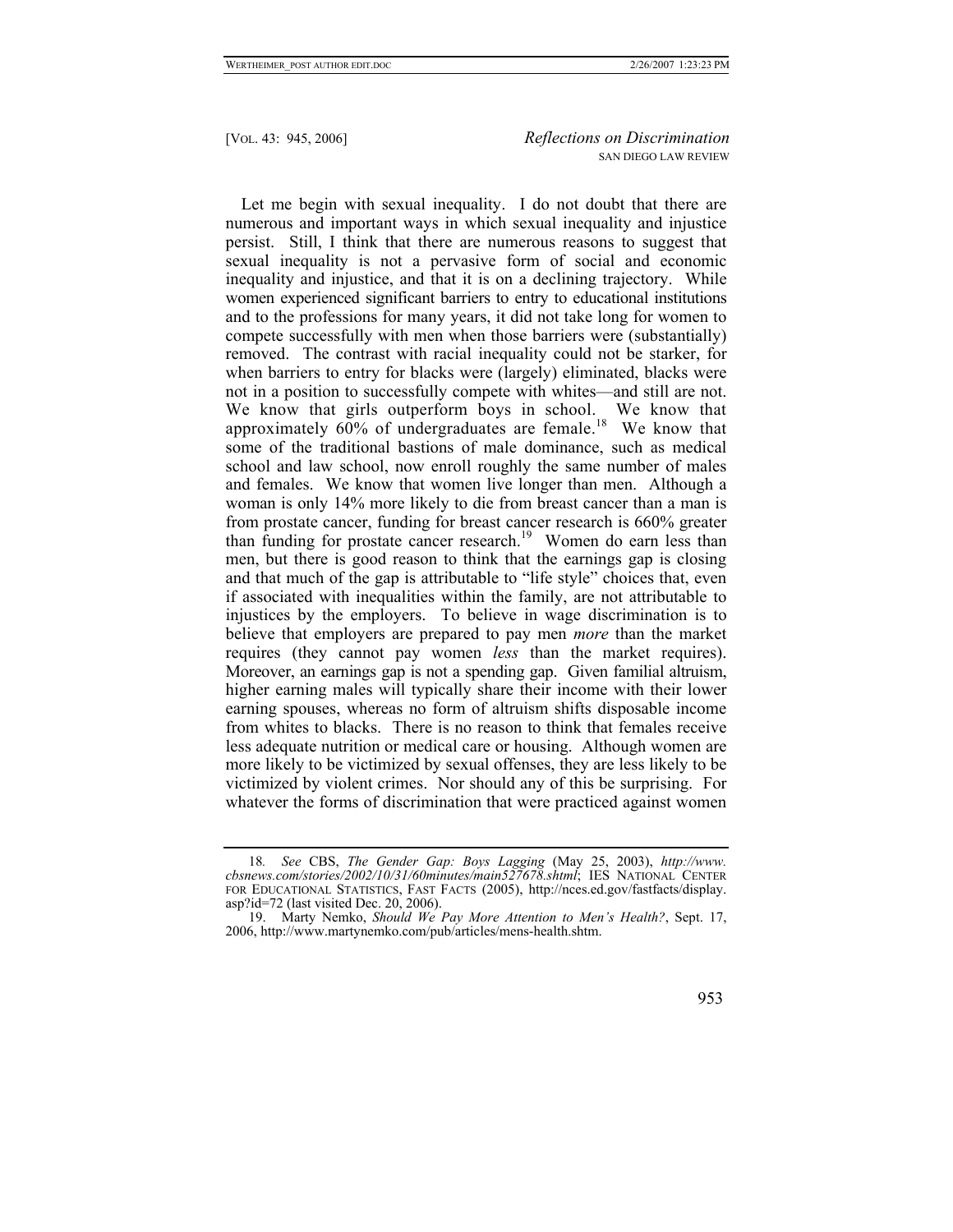Let me begin with sexual inequality. I do not doubt that there are numerous and important ways in which sexual inequality and injustice persist. Still, I think that there are numerous reasons to suggest that sexual inequality is not a pervasive form of social and economic inequality and injustice, and that it is on a declining trajectory. While women experienced significant barriers to entry to educational institutions and to the professions for many years, it did not take long for women to compete successfully with men when those barriers were (substantially) removed. The contrast with racial inequality could not be starker, for when barriers to entry for blacks were (largely) eliminated, blacks were not in a position to successfully compete with whites—and still are not. We know that girls outperform boys in school. We know that approximately  $60\%$  of undergraduates are female.<sup>18</sup> We know that some of the traditional bastions of male dominance, such as medical school and law school, now enroll roughly the same number of males and females. We know that women live longer than men. Although a woman is only 14% more likely to die from breast cancer than a man is from prostate cancer, funding for breast cancer research is 660% greater than funding for prostate cancer research.<sup>19</sup> Women do earn less than men, but there is good reason to think that the earnings gap is closing and that much of the gap is attributable to "life style" choices that, even if associated with inequalities within the family, are not attributable to injustices by the employers. To believe in wage discrimination is to believe that employers are prepared to pay men *more* than the market requires (they cannot pay women *less* than the market requires). Moreover, an earnings gap is not a spending gap. Given familial altruism, higher earning males will typically share their income with their lower earning spouses, whereas no form of altruism shifts disposable income from whites to blacks. There is no reason to think that females receive less adequate nutrition or medical care or housing. Although women are more likely to be victimized by sexual offenses, they are less likely to be victimized by violent crimes. Nor should any of this be surprising. For whatever the forms of discrimination that were practiced against women

<span id="page-8-1"></span><sup>19.</sup> Marty Nemko, *Should We Pay More Attention to Men's Health?*, Sept. 17, 2006, http://www.martynemko.com/pub/articles/mens-health.shtm.



<span id="page-8-0"></span><sup>18</sup>*. See* CBS, *The Gender Gap: Boys Lagging* (May 25, 2003), *http://www. cbsnews.com/stories/2002/10/31/60minutes/main527678.shtml*; IES NATIONAL CENTER FOR EDUCATIONAL STATISTICS, FAST FACTS (2005), http://nces.ed.gov/fastfacts/display. asp?id=72 (last visited Dec. 20, 2006).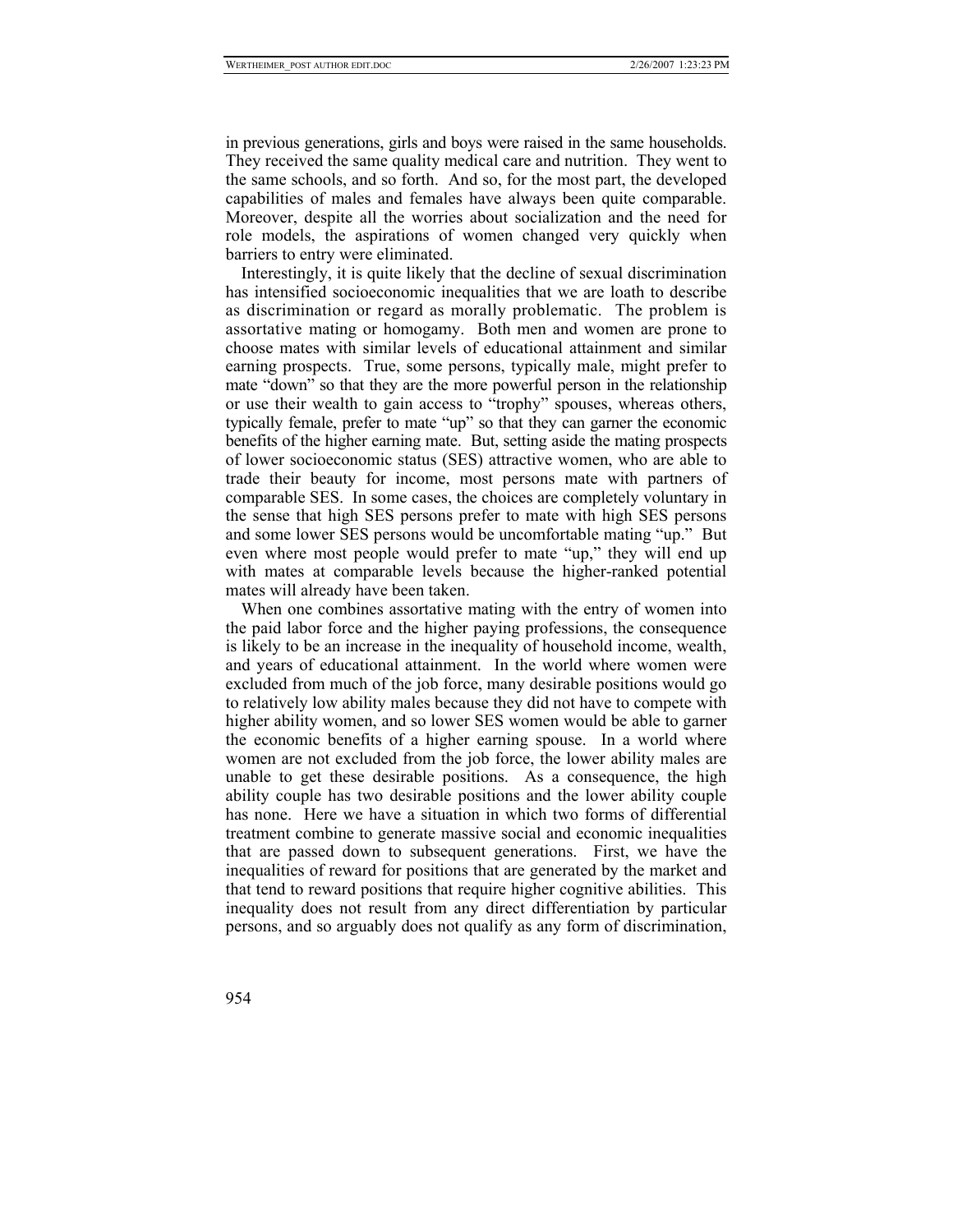in previous generations, girls and boys were raised in the same households. They received the same quality medical care and nutrition. They went to the same schools, and so forth. And so, for the most part, the developed capabilities of males and females have always been quite comparable. Moreover, despite all the worries about socialization and the need for role models, the aspirations of women changed very quickly when barriers to entry were eliminated.

Interestingly, it is quite likely that the decline of sexual discrimination has intensified socioeconomic inequalities that we are loath to describe as discrimination or regard as morally problematic. The problem is assortative mating or homogamy. Both men and women are prone to choose mates with similar levels of educational attainment and similar earning prospects. True, some persons, typically male, might prefer to mate "down" so that they are the more powerful person in the relationship or use their wealth to gain access to "trophy" spouses, whereas others, typically female, prefer to mate "up" so that they can garner the economic benefits of the higher earning mate. But, setting aside the mating prospects of lower socioeconomic status (SES) attractive women, who are able to trade their beauty for income, most persons mate with partners of comparable SES. In some cases, the choices are completely voluntary in the sense that high SES persons prefer to mate with high SES persons and some lower SES persons would be uncomfortable mating "up." But even where most people would prefer to mate "up," they will end up with mates at comparable levels because the higher-ranked potential mates will already have been taken.

When one combines assortative mating with the entry of women into the paid labor force and the higher paying professions, the consequence is likely to be an increase in the inequality of household income, wealth, and years of educational attainment. In the world where women were excluded from much of the job force, many desirable positions would go to relatively low ability males because they did not have to compete with higher ability women, and so lower SES women would be able to garner the economic benefits of a higher earning spouse. In a world where women are not excluded from the job force, the lower ability males are unable to get these desirable positions. As a consequence, the high ability couple has two desirable positions and the lower ability couple has none. Here we have a situation in which two forms of differential treatment combine to generate massive social and economic inequalities that are passed down to subsequent generations. First, we have the inequalities of reward for positions that are generated by the market and that tend to reward positions that require higher cognitive abilities. This inequality does not result from any direct differentiation by particular persons, and so arguably does not qualify as any form of discrimination,

954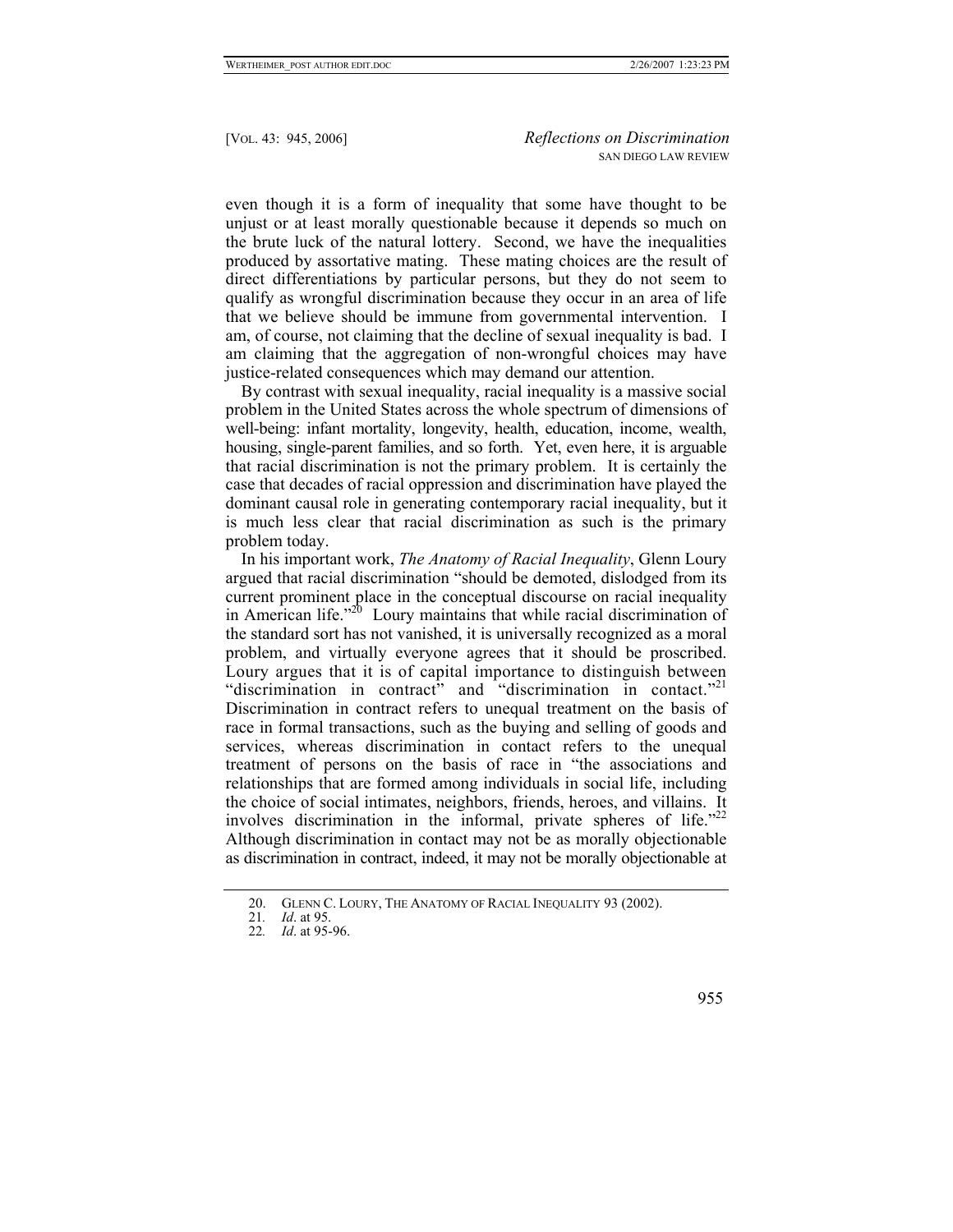even though it is a form of inequality that some have thought to be unjust or at least morally questionable because it depends so much on the brute luck of the natural lottery. Second, we have the inequalities produced by assortative mating. These mating choices are the result of direct differentiations by particular persons, but they do not seem to qualify as wrongful discrimination because they occur in an area of life that we believe should be immune from governmental intervention. I am, of course, not claiming that the decline of sexual inequality is bad. I am claiming that the aggregation of non-wrongful choices may have justice-related consequences which may demand our attention.

By contrast with sexual inequality, racial inequality is a massive social problem in the United States across the whole spectrum of dimensions of well-being: infant mortality, longevity, health, education, income, wealth, housing, single-parent families, and so forth. Yet, even here, it is arguable that racial discrimination is not the primary problem. It is certainly the case that decades of racial oppression and discrimination have played the dominant causal role in generating contemporary racial inequality, but it is much less clear that racial discrimination as such is the primary problem today.

In his important work, *The Anatomy of Racial Inequality*, Glenn Loury argued that racial discrimination "should be demoted, dislodged from its current prominent place in the conceptual discourse on racial inequality in American life."[20](#page-10-0) Loury maintains that while racial discrimination of the standard sort has not vanished, it is universally recognized as a moral problem, and virtually everyone agrees that it should be proscribed. Loury argues that it is of capital importance to distinguish between "discrimination in contract" and "discrimination in contact."<sup>21</sup> Discrimination in contract refers to unequal treatment on the basis of race in formal transactions, such as the buying and selling of goods and services, whereas discrimination in contact refers to the unequal treatment of persons on the basis of race in "the associations and relationships that are formed among individuals in social life, including the choice of social intimates, neighbors, friends, heroes, and villains. It involves discrimination in the informal, private spheres of life. $2<sup>22</sup>$ Although discrimination in contact may not be as morally objectionable as discrimination in contract, indeed, it may not be morally objectionable at

<sup>22</sup>*. Id*. at 95-96.



<span id="page-10-0"></span><sup>20.</sup> GLENN C. LOURY, THE ANATOMY OF RACIAL INEQUALITY 93 (2002).<br>21. Id. at 95.

<span id="page-10-2"></span><span id="page-10-1"></span>*Id.* at 95.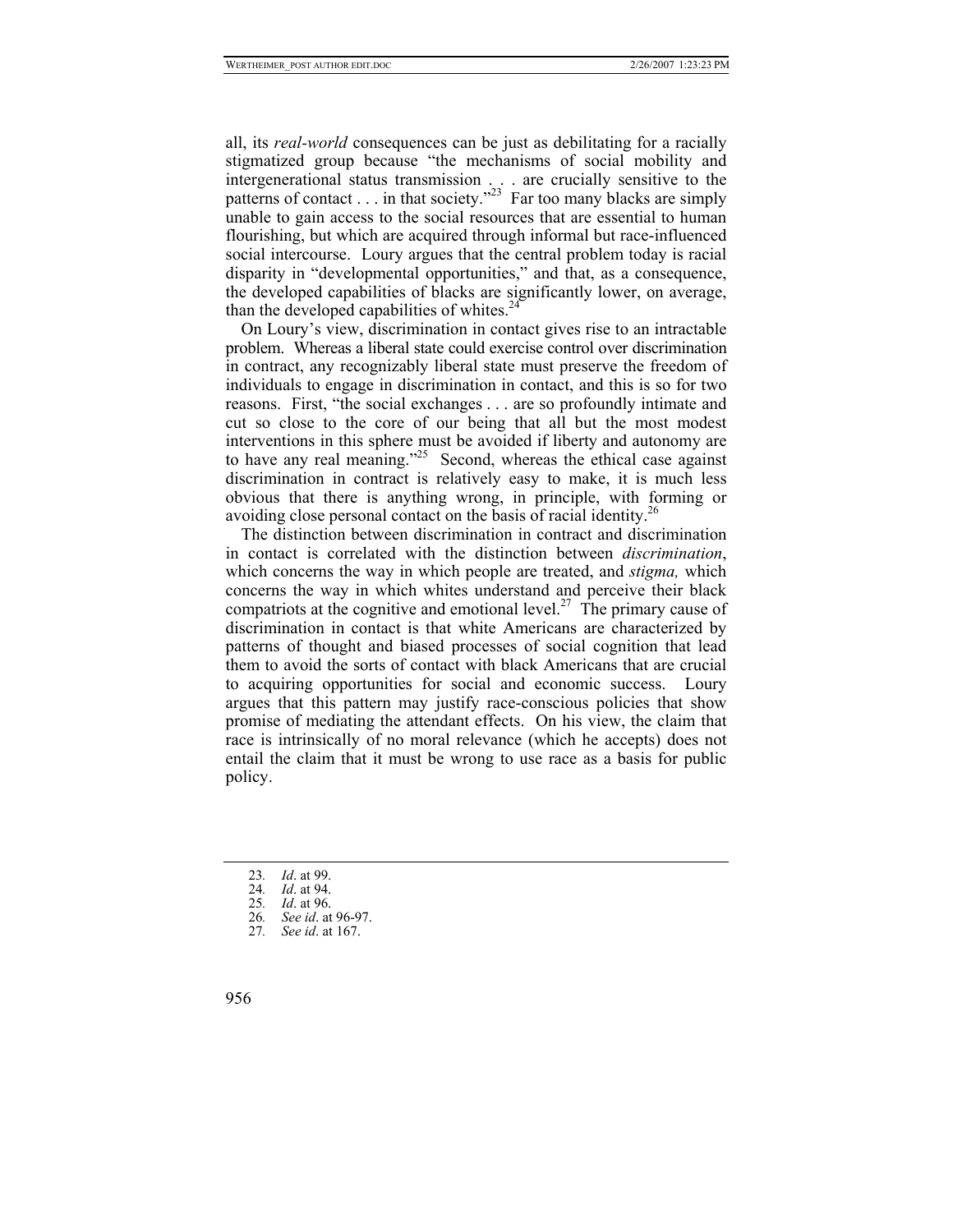all, its *real-world* consequences can be just as debilitating for a racially stigmatized group because "the mechanisms of social mobility and intergenerational status transmission . . . are crucially sensitive to the patterns of contact . . . in that society."<sup>23</sup> Far too many blacks are simply unable to gain access to the social resources that are essential to human flourishing, but which are acquired through informal but race-influenced social intercourse. Loury argues that the central problem today is racial disparity in "developmental opportunities," and that, as a consequence, the developed capabilities of blacks are significantly lower, on average, than the developed capabilities of whites. $24$ 

On Loury's view, discrimination in contact gives rise to an intractable problem. Whereas a liberal state could exercise control over discrimination in contract, any recognizably liberal state must preserve the freedom of individuals to engage in discrimination in contact, and this is so for two reasons. First, "the social exchanges . . . are so profoundly intimate and cut so close to the core of our being that all but the most modest interventions in this sphere must be avoided if liberty and autonomy are to have any real meaning."<sup>25</sup> Second, whereas the ethical case against discrimination in contract is relatively easy to make, it is much less obvious that there is anything wrong, in principle, with forming or avoiding close personal contact on the basis of racial identity[.26](#page-11-3)

The distinction between discrimination in contract and discrimination in contact is correlated with the distinction between *discrimination*, which concerns the way in which people are treated, and *stigma,* which concerns the way in which whites understand and perceive their black compatriots at the cognitive and emotional level.<sup>27</sup> The primary cause of discrimination in contact is that white Americans are characterized by patterns of thought and biased processes of social cognition that lead them to avoid the sorts of contact with black Americans that are crucial to acquiring opportunities for social and economic success. Loury argues that this pattern may justify race-conscious policies that show promise of mediating the attendant effects. On his view, the claim that race is intrinsically of no moral relevance (which he accepts) does not entail the claim that it must be wrong to use race as a basis for public policy.

- <span id="page-11-0"></span>23*. Id*. at 99.
- <span id="page-11-1"></span>24*. Id*. at 94.
- <span id="page-11-3"></span>
- <span id="page-11-2"></span>25*. Id*. at 96. 26*. See id*. at 96-97.
- <span id="page-11-4"></span>27*. See id*. at 167.
- 956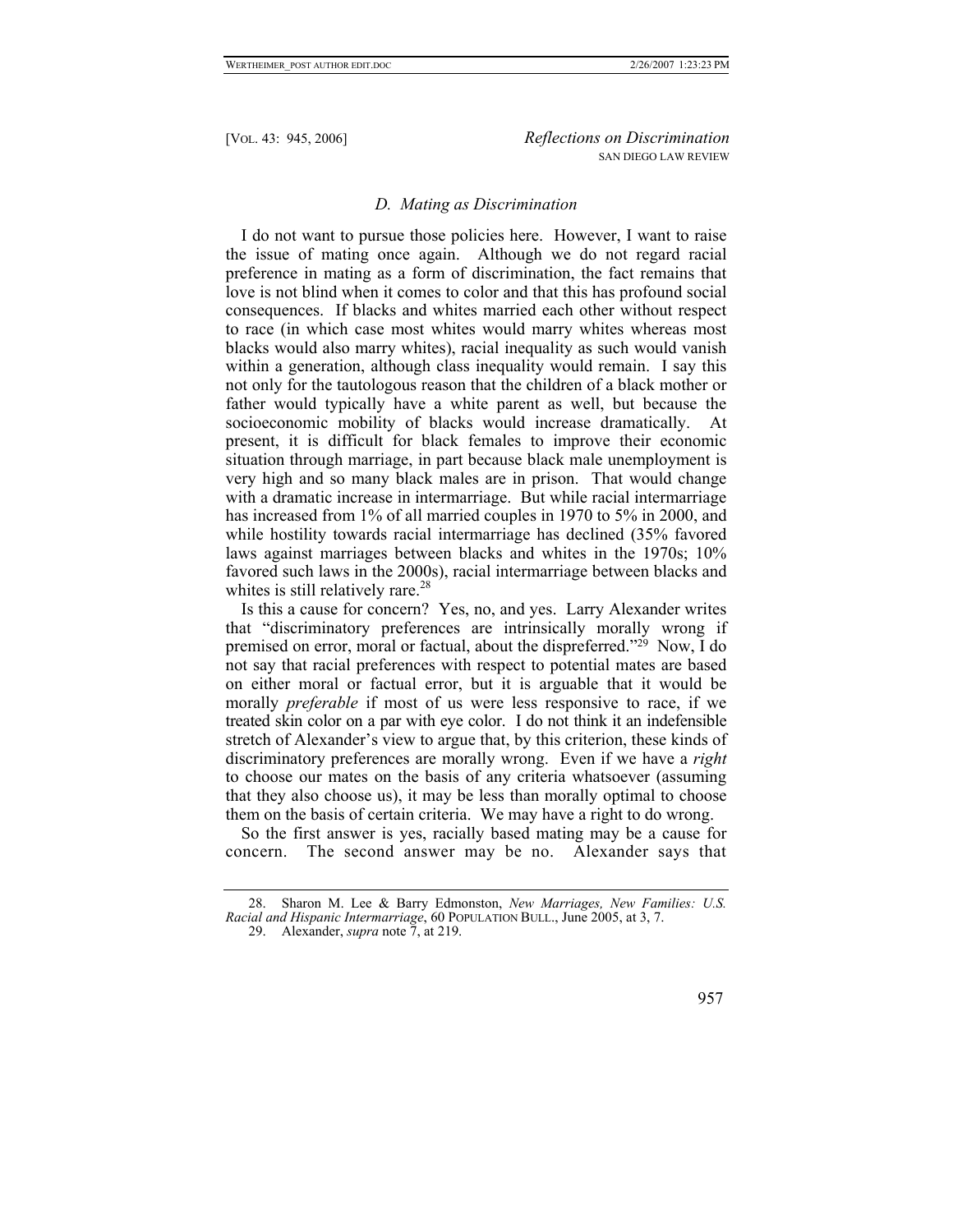## *D. Mating as Discrimination*

I do not want to pursue those policies here. However, I want to raise the issue of mating once again. Although we do not regard racial preference in mating as a form of discrimination, the fact remains that love is not blind when it comes to color and that this has profound social consequences. If blacks and whites married each other without respect to race (in which case most whites would marry whites whereas most blacks would also marry whites), racial inequality as such would vanish within a generation, although class inequality would remain. I say this not only for the tautologous reason that the children of a black mother or father would typically have a white parent as well, but because the socioeconomic mobility of blacks would increase dramatically. At present, it is difficult for black females to improve their economic situation through marriage, in part because black male unemployment is very high and so many black males are in prison. That would change with a dramatic increase in intermarriage. But while racial intermarriage has increased from 1% of all married couples in 1970 to 5% in 2000, and while hostility towards racial intermarriage has declined (35% favored laws against marriages between blacks and whites in the 1970s; 10% favored such laws in the 2000s), racial intermarriage between blacks and whites is still relatively rare.<sup>[28](#page-12-0)</sup>

Is this a cause for concern? Yes, no, and yes. Larry Alexander writes that "discriminatory preferences are intrinsically morally wrong if premised on error, moral or factual, about the dispreferred."[29](#page-12-1) Now, I do not say that racial preferences with respect to potential mates are based on either moral or factual error, but it is arguable that it would be morally *preferable* if most of us were less responsive to race, if we treated skin color on a par with eye color. I do not think it an indefensible stretch of Alexander's view to argue that, by this criterion, these kinds of discriminatory preferences are morally wrong. Even if we have a *right* to choose our mates on the basis of any criteria whatsoever (assuming that they also choose us), it may be less than morally optimal to choose them on the basis of certain criteria. We may have a right to do wrong.

So the first answer is yes, racially based mating may be a cause for concern. The second answer may be no. Alexander says that

<span id="page-12-1"></span><sup>29.</sup> Alexander, *supra* note 7, at 219.



<span id="page-12-0"></span><sup>28.</sup> Sharon M. Lee & Barry Edmonston, *New Marriages, New Families: U.S. Racial and Hispanic Intermarriage*, 60 POPULATION BULL., June 2005, at 3, 7.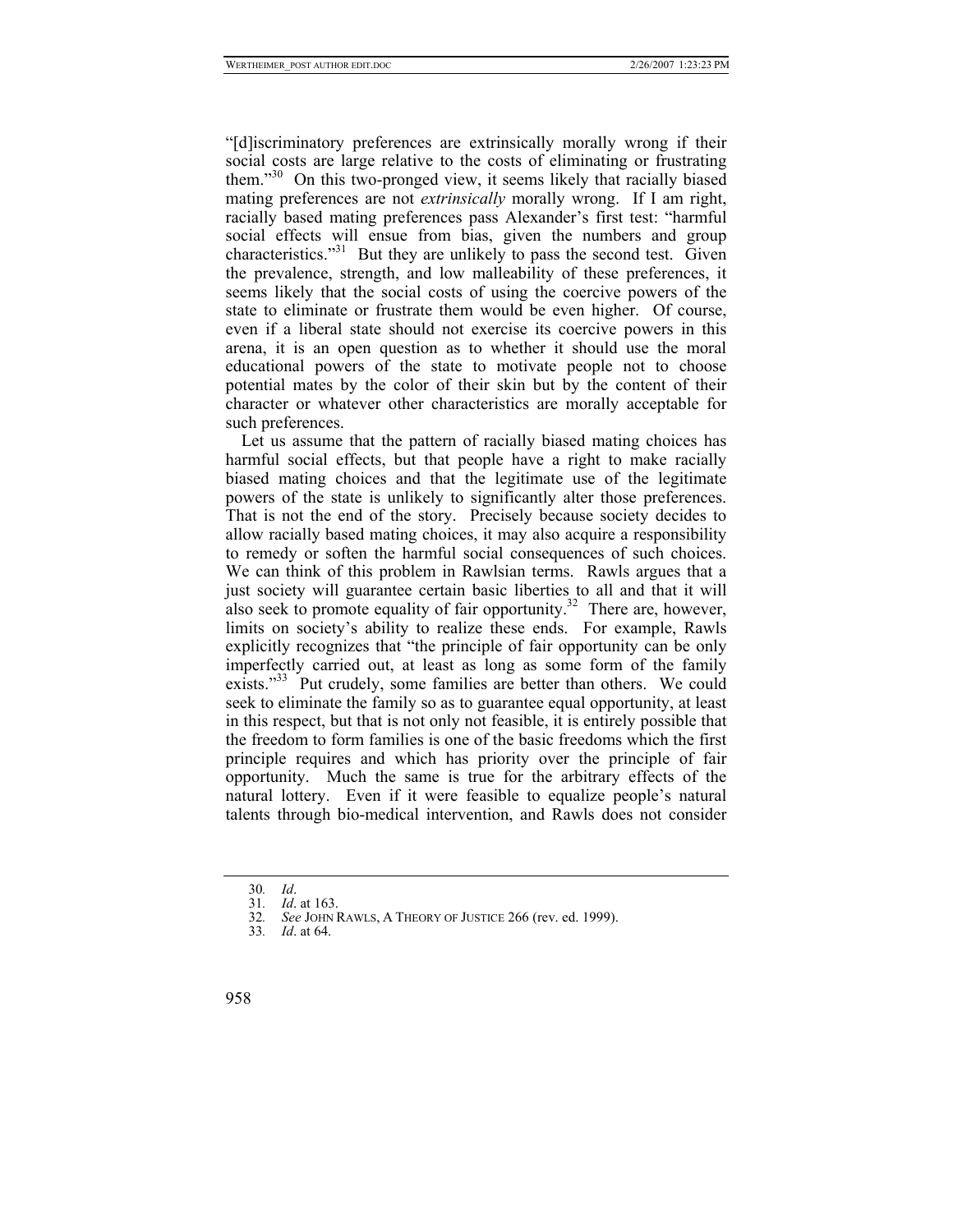"[d]iscriminatory preferences are extrinsically morally wrong if their social costs are large relative to the costs of eliminating or frustrating them."[30](#page-13-0) On this two-pronged view, it seems likely that racially biased mating preferences are not *extrinsically* morally wrong. If I am right, racially based mating preferences pass Alexander's first test: "harmful social effects will ensue from bias, given the numbers and group characteristics."<sup>31</sup> But they are unlikely to pass the second test. Given the prevalence, strength, and low malleability of these preferences, it seems likely that the social costs of using the coercive powers of the state to eliminate or frustrate them would be even higher. Of course, even if a liberal state should not exercise its coercive powers in this arena, it is an open question as to whether it should use the moral educational powers of the state to motivate people not to choose potential mates by the color of their skin but by the content of their character or whatever other characteristics are morally acceptable for such preferences.

Let us assume that the pattern of racially biased mating choices has harmful social effects, but that people have a right to make racially biased mating choices and that the legitimate use of the legitimate powers of the state is unlikely to significantly alter those preferences. That is not the end of the story. Precisely because society decides to allow racially based mating choices, it may also acquire a responsibility to remedy or soften the harmful social consequences of such choices. We can think of this problem in Rawlsian terms. Rawls argues that a just society will guarantee certain basic liberties to all and that it will also seek to promote equality of fair opportunity.<sup>32</sup> There are, however, limits on society's ability to realize these ends. For example, Rawls explicitly recognizes that "the principle of fair opportunity can be only imperfectly carried out, at least as long as some form of the family exists."<sup>33</sup> Put crudely, some families are better than others. We could seek to eliminate the family so as to guarantee equal opportunity, at least in this respect, but that is not only not feasible, it is entirely possible that the freedom to form families is one of the basic freedoms which the first principle requires and which has priority over the principle of fair opportunity. Much the same is true for the arbitrary effects of the natural lottery. Even if it were feasible to equalize people's natural talents through bio-medical intervention, and Rawls does not consider

<span id="page-13-0"></span><sup>30</sup>*. Id*.

<span id="page-13-1"></span><sup>31</sup>*. Id*. at 163.

<span id="page-13-2"></span>See JOHN RAWLS, A THEORY OF JUSTICE 266 (rev. ed. 1999).

<span id="page-13-3"></span><sup>33</sup>*. Id*. at 64.

<sup>958</sup>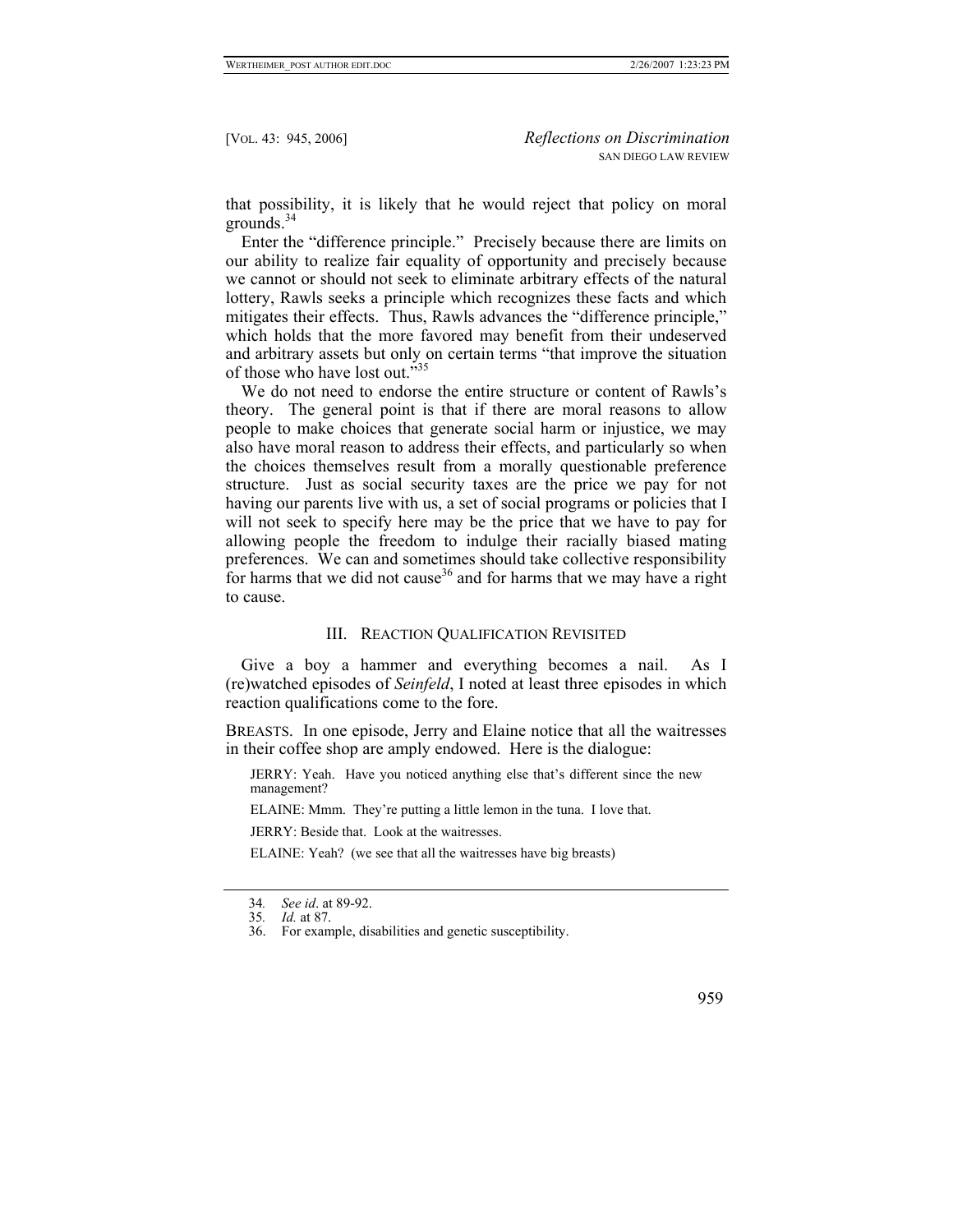that possibility, it is likely that he would reject that policy on moral grounds.[34](#page-14-0)

Enter the "difference principle." Precisely because there are limits on our ability to realize fair equality of opportunity and precisely because we cannot or should not seek to eliminate arbitrary effects of the natural lottery, Rawls seeks a principle which recognizes these facts and which mitigates their effects. Thus, Rawls advances the "difference principle," which holds that the more favored may benefit from their undeserved and arbitrary assets but only on certain terms "that improve the situation of those who have lost out."[35](#page-14-1)

We do not need to endorse the entire structure or content of Rawls's theory. The general point is that if there are moral reasons to allow people to make choices that generate social harm or injustice, we may also have moral reason to address their effects, and particularly so when the choices themselves result from a morally questionable preference structure. Just as social security taxes are the price we pay for not having our parents live with us, a set of social programs or policies that I will not seek to specify here may be the price that we have to pay for allowing people the freedom to indulge their racially biased mating preferences. We can and sometimes should take collective responsibility for harms that we did not cause<sup>36</sup> and for harms that we may have a right to cause.

### III. REACTION QUALIFICATION REVISITED

Give a boy a hammer and everything becomes a nail. As I (re)watched episodes of *Seinfeld*, I noted at least three episodes in which reaction qualifications come to the fore.

BREASTS. In one episode, Jerry and Elaine notice that all the waitresses in their coffee shop are amply endowed. Here is the dialogue:

JERRY: Yeah. Have you noticed anything else that's different since the new management?

ELAINE: Mmm. They're putting a little lemon in the tuna. I love that.

JERRY: Beside that. Look at the waitresses.

ELAINE: Yeah? (we see that all the waitresses have big breasts)

959

<span id="page-14-0"></span><sup>34</sup>*. See id*. at 89-92.

<span id="page-14-1"></span><sup>35</sup>*. Id.* at 87.

<span id="page-14-2"></span><sup>36.</sup> For example, disabilities and genetic susceptibility.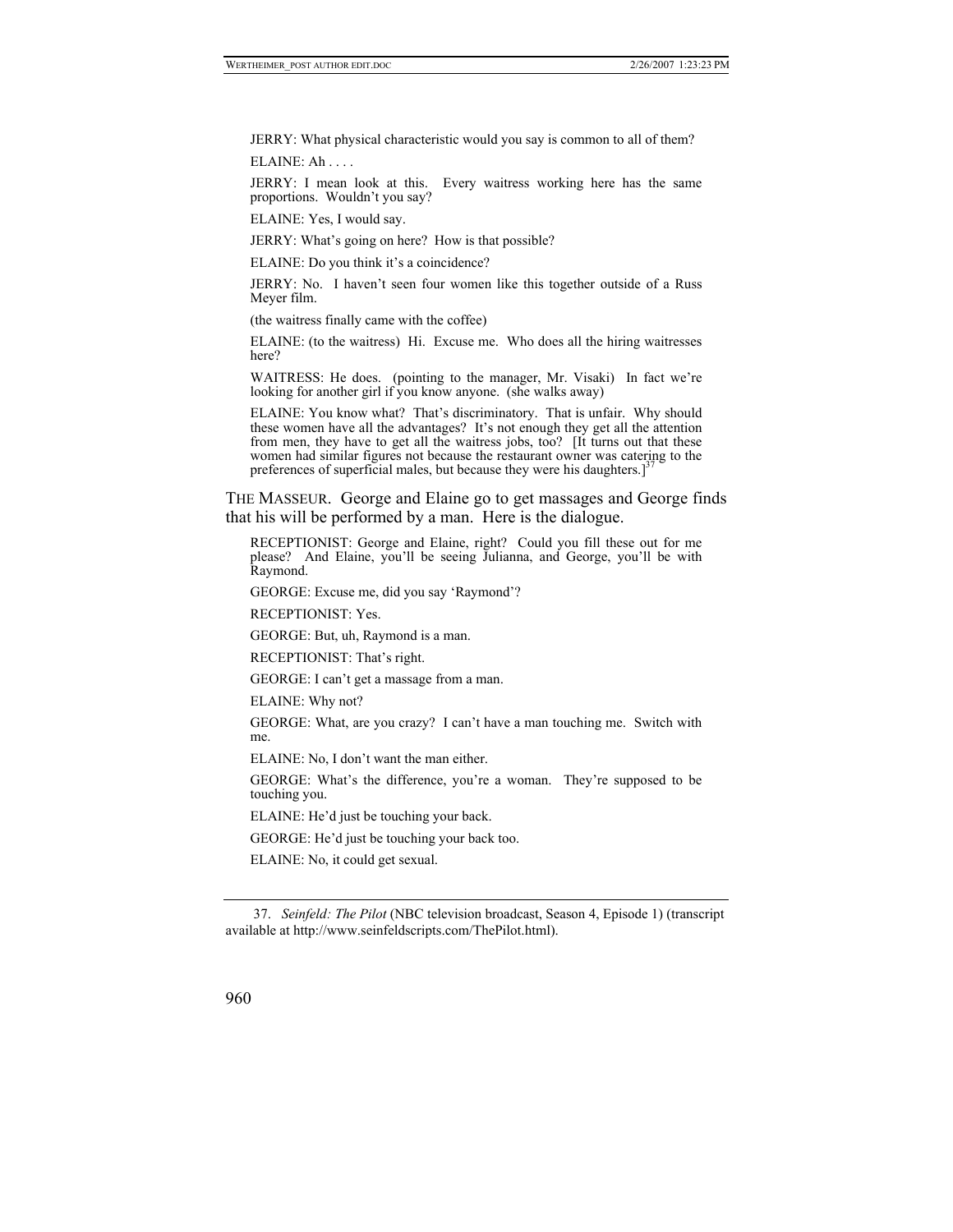JERRY: What physical characteristic would you say is common to all of them?

ELAINE: Ah . . . .

JERRY: I mean look at this. Every waitress working here has the same proportions. Wouldn't you say?

ELAINE: Yes, I would say.

JERRY: What's going on here? How is that possible?

ELAINE: Do you think it's a coincidence?

JERRY: No. I haven't seen four women like this together outside of a Russ Meyer film.

(the waitress finally came with the coffee)

ELAINE: (to the waitress) Hi. Excuse me. Who does all the hiring waitresses here?

WAITRESS: He does. (pointing to the manager, Mr. Visaki) In fact we're looking for another girl if you know anyone. (she walks away)

ELAINE: You know what? That's discriminatory. That is unfair. Why should these women have all the advantages? It's not enough they get all the attention from men, they have to get all the waitress jobs, too? [It turns out that these women had similar figures not because the restaurant owner was catering to the preferences of superficial males, but because they were his daughters.]

THE MASSEUR. George and Elaine go to get massages and George finds that his will be performed by a man. Here is the dialogue.

RECEPTIONIST: George and Elaine, right? Could you fill these out for me please? And Elaine, you'll be seeing Julianna, and George, you'll be with Raymond.

GEORGE: Excuse me, did you say 'Raymond'?

RECEPTIONIST: Yes.

GEORGE: But, uh, Raymond is a man.

RECEPTIONIST: That's right.

GEORGE: I can't get a massage from a man.

ELAINE: Why not?

GEORGE: What, are you crazy? I can't have a man touching me. Switch with me.

ELAINE: No, I don't want the man either.

GEORGE: What's the difference, you're a woman. They're supposed to be touching you.

ELAINE: He'd just be touching your back.

GEORGE: He'd just be touching your back too.

ELAINE: No, it could get sexual.

<span id="page-15-0"></span><sup>37.</sup> *Seinfeld: The Pilot* (NBC television broadcast, Season 4, Episode 1) (transcript available at http://www.seinfeldscripts.com/ThePilot.html).

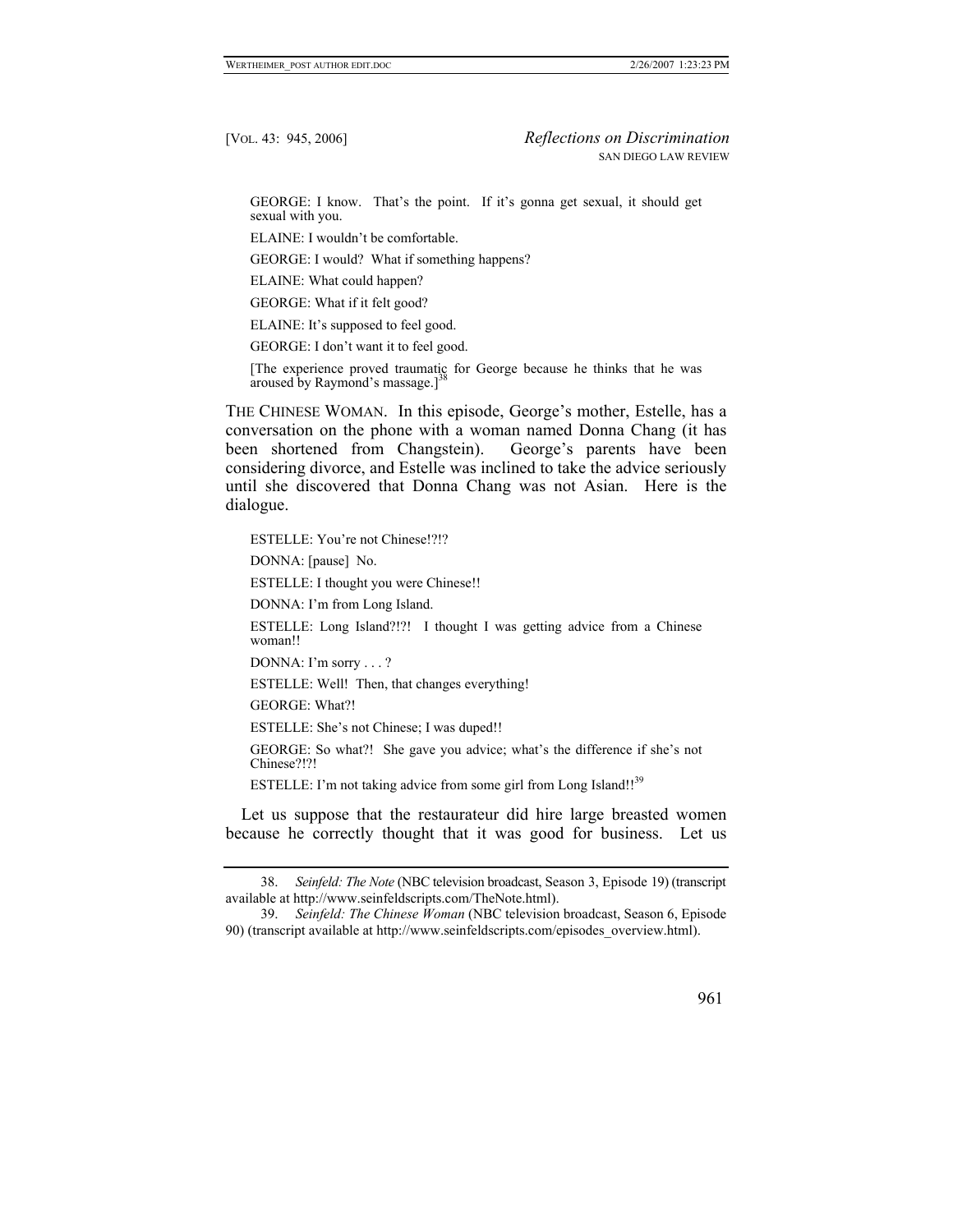GEORGE: I know. That's the point. If it's gonna get sexual, it should get sexual with you.

ELAINE: I wouldn't be comfortable.

GEORGE: I would? What if something happens?

ELAINE: What could happen?

GEORGE: What if it felt good?

ELAINE: It's supposed to feel good.

GEORGE: I don't want it to feel good.

[The experience proved traumatic for George because he thinks that he was aroused by Raymond's massage. $]^{3}$ 

THE CHINESE WOMAN. In this episode, George's mother, Estelle, has a conversation on the phone with a woman named Donna Chang (it has been shortened from Changstein). George's parents have been considering divorce, and Estelle was inclined to take the advice seriously until she discovered that Donna Chang was not Asian. Here is the dialogue.

ESTELLE: You're not Chinese!?!?

DONNA: [pause] No.

ESTELLE: I thought you were Chinese!!

DONNA: I'm from Long Island.

ESTELLE: Long Island?!?! I thought I was getting advice from a Chinese woman!!

DONNA: I'm sorry . . . ?

ESTELLE: Well! Then, that changes everything!

GEORGE: What?!

ESTELLE: She's not Chinese; I was duped!!

GEORGE: So what?! She gave you advice; what's the difference if she's not Chinese?!?!

ESTELLE: I'm not taking advice from some girl from Long Island!!<sup>39</sup>

Let us suppose that the restaurateur did hire large breasted women because he correctly thought that it was good for business. Let us

<span id="page-16-1"></span><sup>39.</sup> *Seinfeld: The Chinese Woman* (NBC television broadcast, Season 6, Episode 90) (transcript available at http://www.seinfeldscripts.com/episodes\_overview.html).



<span id="page-16-0"></span><sup>38.</sup> *Seinfeld: The Note* (NBC television broadcast, Season 3, Episode 19) (transcript available at http://www.seinfeldscripts.com/TheNote.html).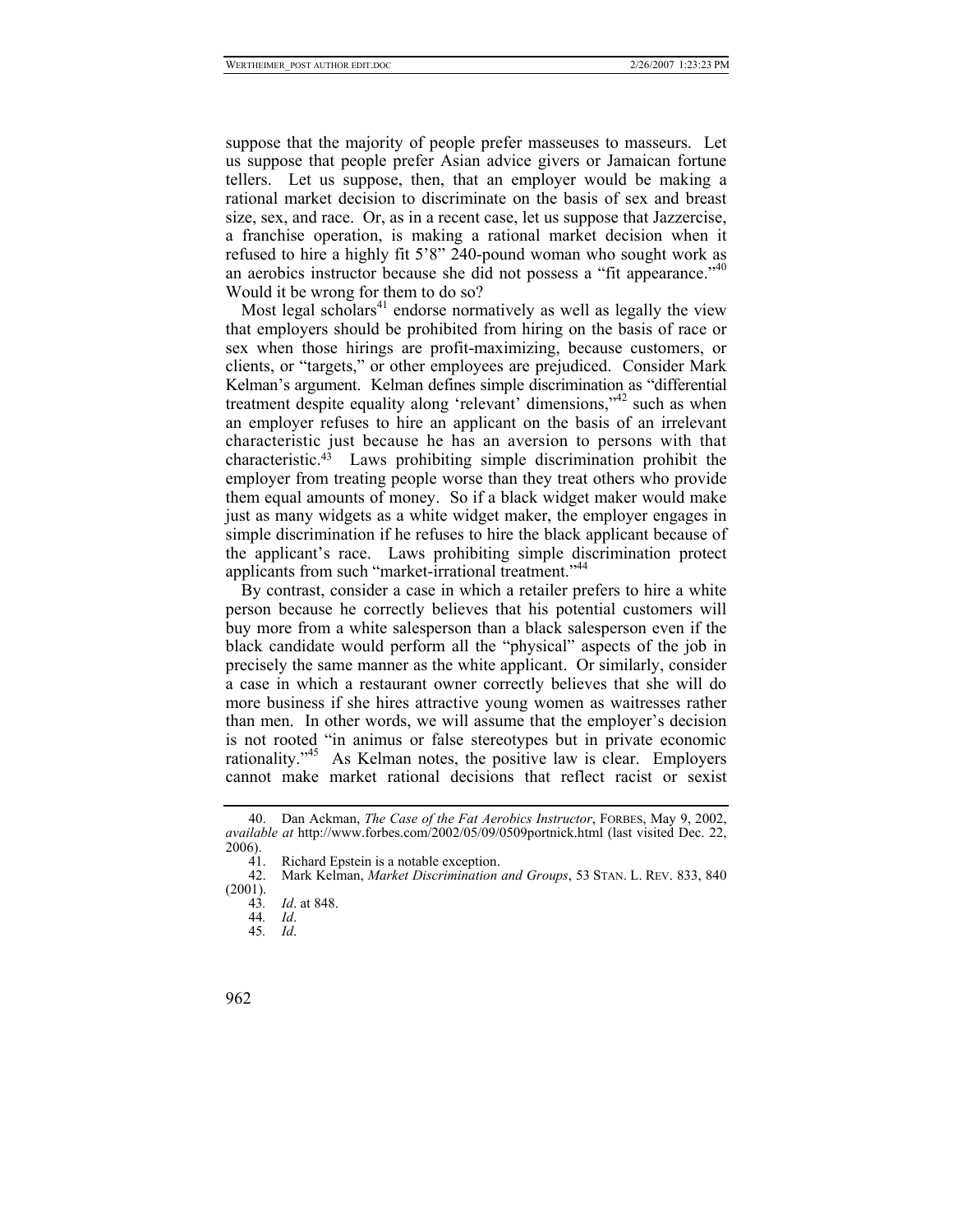suppose that the majority of people prefer masseuses to masseurs. Let us suppose that people prefer Asian advice givers or Jamaican fortune tellers. Let us suppose, then, that an employer would be making a rational market decision to discriminate on the basis of sex and breast size, sex, and race. Or, as in a recent case, let us suppose that Jazzercise, a franchise operation, is making a rational market decision when it refused to hire a highly fit 5'8" 240-pound woman who sought work as an aerobics instructor because she did not possess a "fit appearance."<sup>40</sup> Would it be wrong for them to do so?

Most legal scholars<sup>41</sup> endorse normatively as well as legally the view that employers should be prohibited from hiring on the basis of race or sex when those hirings are profit-maximizing, because customers, or clients, or "targets," or other employees are prejudiced. Consider Mark Kelman's argument. Kelman defines simple discrimination as "differential treatment despite equality along 'relevant' dimensions,["42](#page-17-2) such as when an employer refuses to hire an applicant on the basis of an irrelevant characteristic just because he has an aversion to persons with that characteristic[.43](#page-17-3) Laws prohibiting simple discrimination prohibit the employer from treating people worse than they treat others who provide them equal amounts of money. So if a black widget maker would make just as many widgets as a white widget maker, the employer engages in simple discrimination if he refuses to hire the black applicant because of the applicant's race. Laws prohibiting simple discrimination protect applicants from such "market-irrational treatment."<sup>[44](#page-17-4)</sup>

By contrast, consider a case in which a retailer prefers to hire a white person because he correctly believes that his potential customers will buy more from a white salesperson than a black salesperson even if the black candidate would perform all the "physical" aspects of the job in precisely the same manner as the white applicant. Or similarly, consider a case in which a restaurant owner correctly believes that she will do more business if she hires attractive young women as waitresses rather than men. In other words, we will assume that the employer's decision is not rooted "in animus or false stereotypes but in private economic rationality.["45](#page-17-5) As Kelman notes, the positive law is clear. Employers cannot make market rational decisions that reflect racist or sexist

<span id="page-17-0"></span><sup>40.</sup> Dan Ackman, *The Case of the Fat Aerobics Instructor*, FORBES, May 9, 2002, *available at* http://www.forbes.com/2002/05/09/0509portnick.html (last visited Dec. 22,  $\frac{2006}{41}$ .

<span id="page-17-2"></span><span id="page-17-1"></span>

<sup>41.</sup> Richard Epstein is a notable exception.<br>42. Mark Kelman, *Market Discrimination* 42. Mark Kelman, *Market Discrimination and Groups*, 53 STAN. L. REV. 833, 840 (2001).

<span id="page-17-3"></span><sup>43</sup>*. Id*. at 848.

<span id="page-17-4"></span><sup>44</sup>*. Id*.

<span id="page-17-5"></span><sup>45</sup>*. Id*.

<sup>962</sup>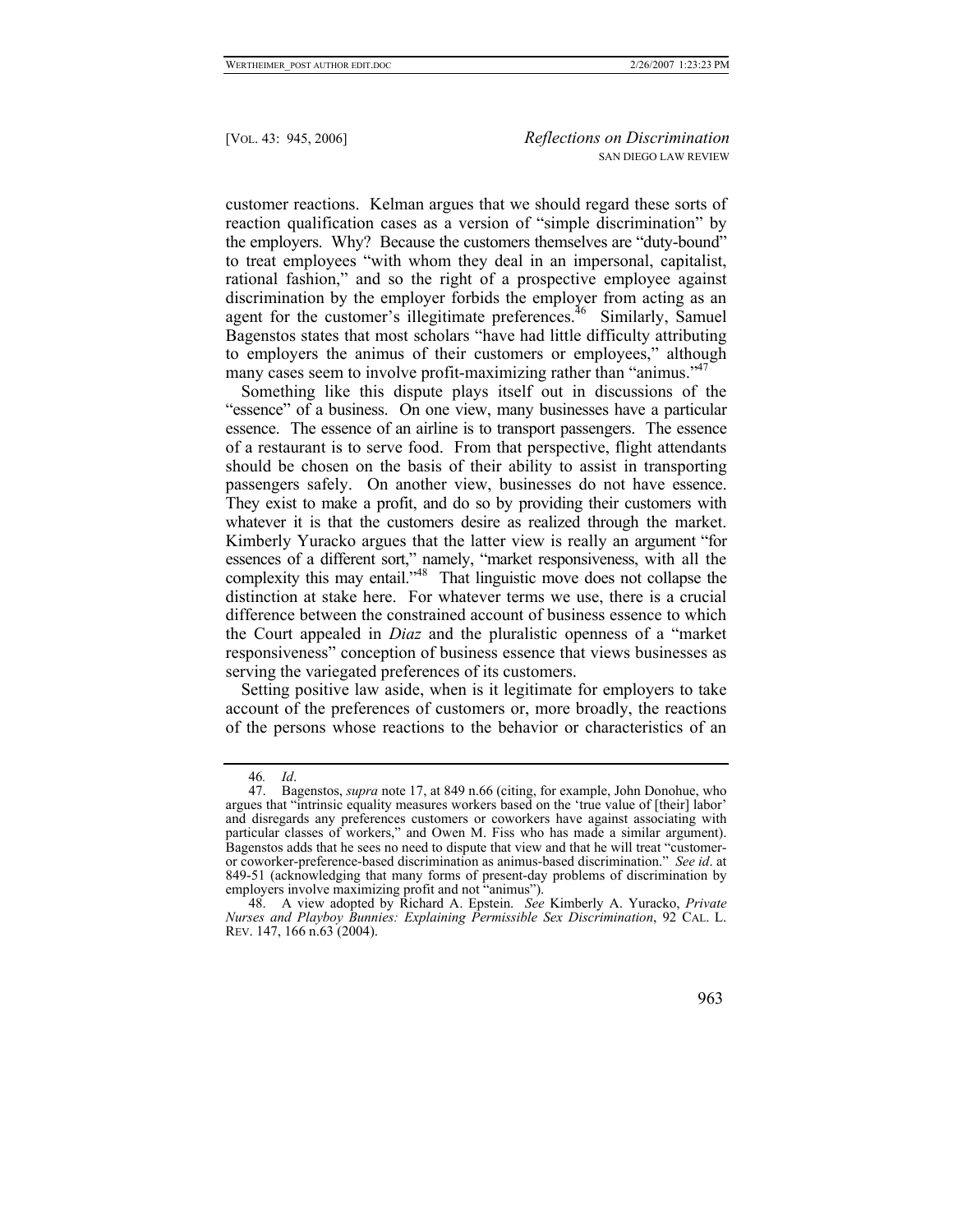customer reactions. Kelman argues that we should regard these sorts of reaction qualification cases as a version of "simple discrimination" by the employers. Why? Because the customers themselves are "duty-bound" to treat employees "with whom they deal in an impersonal, capitalist, rational fashion," and so the right of a prospective employee against discrimination by the employer forbids the employer from acting as an agent for the customer's illegitimate preferences.<sup>46</sup> Similarly, Samuel Bagenstos states that most scholars "have had little difficulty attributing to employers the animus of their customers or employees," although many cases seem to involve profit-maximizing rather than "animus."<sup>[47](#page-18-1)</sup>

Something like this dispute plays itself out in discussions of the "essence" of a business. On one view, many businesses have a particular essence. The essence of an airline is to transport passengers. The essence of a restaurant is to serve food. From that perspective, flight attendants should be chosen on the basis of their ability to assist in transporting passengers safely. On another view, businesses do not have essence. They exist to make a profit, and do so by providing their customers with whatever it is that the customers desire as realized through the market. Kimberly Yuracko argues that the latter view is really an argument "for essences of a different sort," namely, "market responsiveness, with all the complexity this may entail."<sup>48</sup> That linguistic move does not collapse the distinction at stake here. For whatever terms we use, there is a crucial difference between the constrained account of business essence to which the Court appealed in *Diaz* and the pluralistic openness of a "market responsiveness" conception of business essence that views businesses as serving the variegated preferences of its customers.

Setting positive law aside, when is it legitimate for employers to take account of the preferences of customers or, more broadly, the reactions of the persons whose reactions to the behavior or characteristics of an

<span id="page-18-1"></span><span id="page-18-0"></span><sup>46</sup>*. Id*.

<sup>47.</sup> Bagenstos, *supra* note 17, at 849 n.66 (citing, for example, John Donohue, who argues that "intrinsic equality measures workers based on the 'true value of [their] labor' and disregards any preferences customers or coworkers have against associating with particular classes of workers," and Owen M. Fiss who has made a similar argument). Bagenstos adds that he sees no need to dispute that view and that he will treat "customeror coworker-preference-based discrimination as animus-based discrimination." *See id*. at 849-51 (acknowledging that many forms of present-day problems of discrimination by employers involve maximizing profit and not "animus").

<span id="page-18-2"></span><sup>48.</sup> A view adopted by Richard A. Epstein. *See* Kimberly A. Yuracko, *Private Nurses and Playboy Bunnies: Explaining Permissible Sex Discrimination*, 92 CAL. L. REV. 147, 166 n.63 (2004).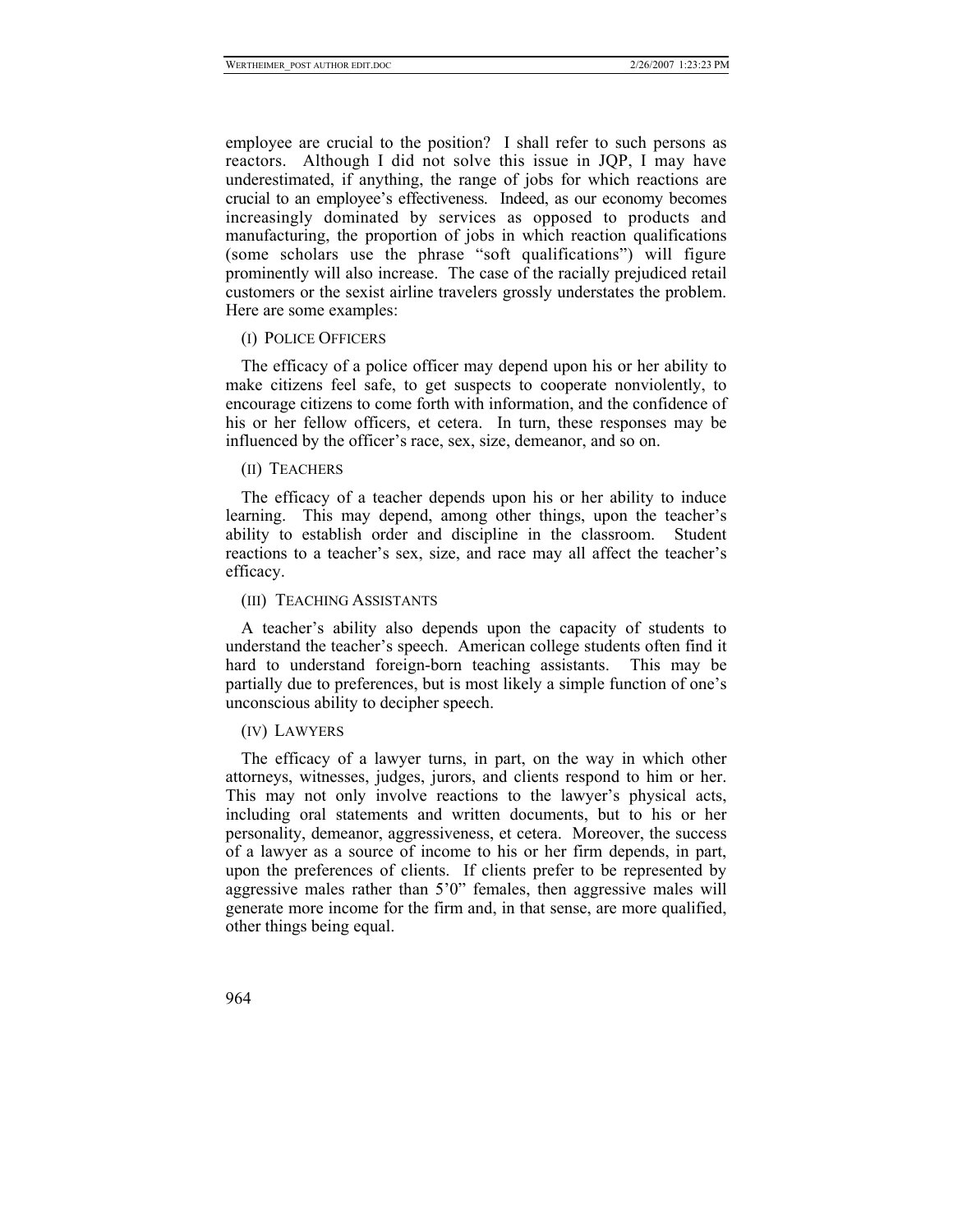employee are crucial to the position? I shall refer to such persons as reactors. Although I did not solve this issue in JQP, I may have underestimated, if anything, the range of jobs for which reactions are crucial to an employee's effectiveness. Indeed, as our economy becomes increasingly dominated by services as opposed to products and manufacturing, the proportion of jobs in which reaction qualifications (some scholars use the phrase "soft qualifications") will figure prominently will also increase. The case of the racially prejudiced retail customers or the sexist airline travelers grossly understates the problem. Here are some examples:

# (I) POLICE OFFICERS

The efficacy of a police officer may depend upon his or her ability to make citizens feel safe, to get suspects to cooperate nonviolently, to encourage citizens to come forth with information, and the confidence of his or her fellow officers, et cetera. In turn, these responses may be influenced by the officer's race, sex, size, demeanor, and so on.

# (II) TEACHERS

The efficacy of a teacher depends upon his or her ability to induce learning. This may depend, among other things, upon the teacher's ability to establish order and discipline in the classroom. Student reactions to a teacher's sex, size, and race may all affect the teacher's efficacy.

## (III) TEACHING ASSISTANTS

A teacher's ability also depends upon the capacity of students to understand the teacher's speech. American college students often find it hard to understand foreign-born teaching assistants. This may be partially due to preferences, but is most likely a simple function of one's unconscious ability to decipher speech.

## (IV) LAWYERS

The efficacy of a lawyer turns, in part, on the way in which other attorneys, witnesses, judges, jurors, and clients respond to him or her. This may not only involve reactions to the lawyer's physical acts, including oral statements and written documents, but to his or her personality, demeanor, aggressiveness, et cetera. Moreover, the success of a lawyer as a source of income to his or her firm depends, in part, upon the preferences of clients. If clients prefer to be represented by aggressive males rather than 5'0" females, then aggressive males will generate more income for the firm and, in that sense, are more qualified, other things being equal.

964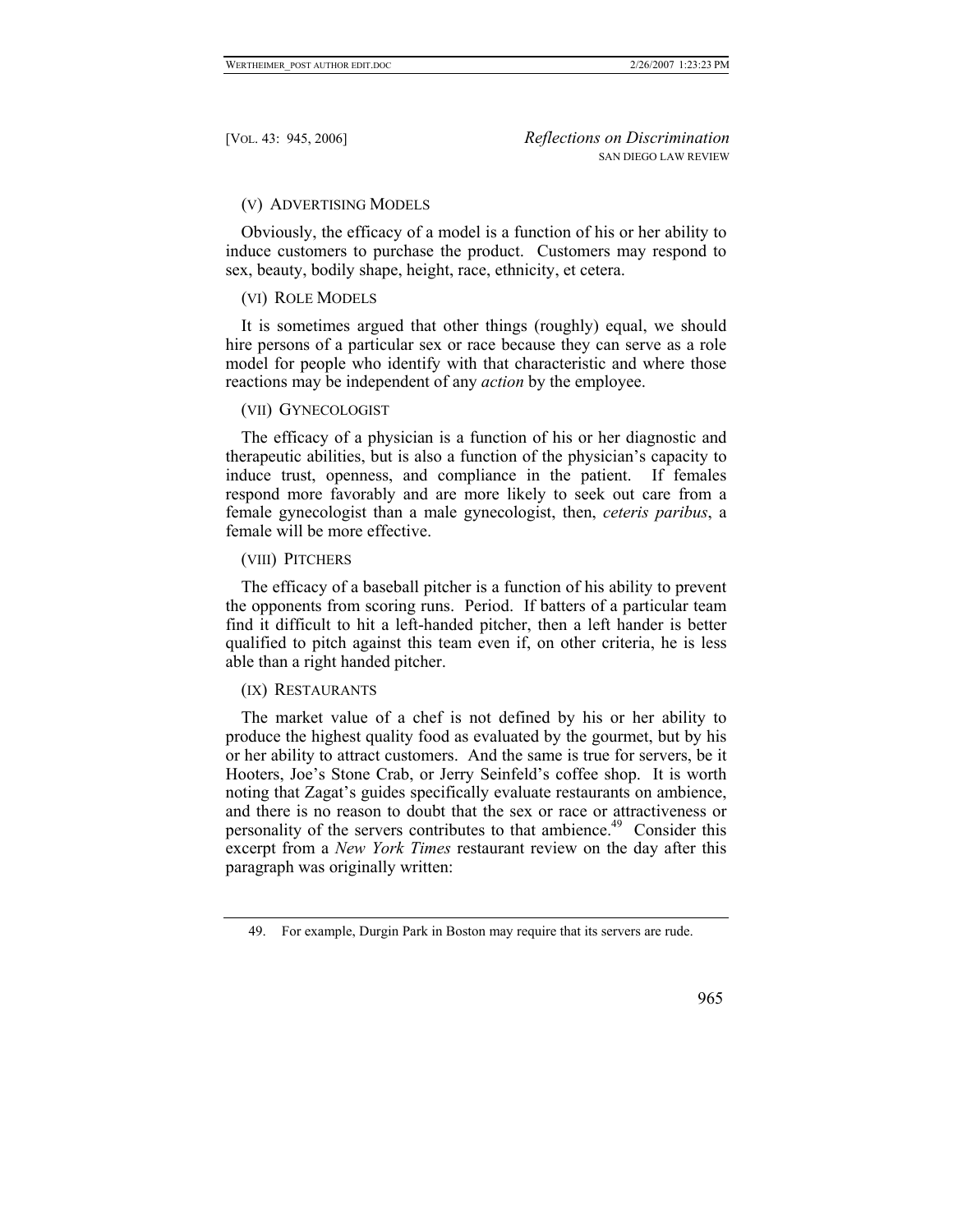# (V) ADVERTISING MODELS

Obviously, the efficacy of a model is a function of his or her ability to induce customers to purchase the product. Customers may respond to sex, beauty, bodily shape, height, race, ethnicity, et cetera.

# (VI) ROLE MODELS

It is sometimes argued that other things (roughly) equal, we should hire persons of a particular sex or race because they can serve as a role model for people who identify with that characteristic and where those reactions may be independent of any *action* by the employee.

## (VII) GYNECOLOGIST

The efficacy of a physician is a function of his or her diagnostic and therapeutic abilities, but is also a function of the physician's capacity to induce trust, openness, and compliance in the patient. If females respond more favorably and are more likely to seek out care from a female gynecologist than a male gynecologist, then, *ceteris paribus*, a female will be more effective.

# (VIII) PITCHERS

The efficacy of a baseball pitcher is a function of his ability to prevent the opponents from scoring runs. Period. If batters of a particular team find it difficult to hit a left-handed pitcher, then a left hander is better qualified to pitch against this team even if, on other criteria, he is less able than a right handed pitcher.

# (IX) RESTAURANTS

The market value of a chef is not defined by his or her ability to produce the highest quality food as evaluated by the gourmet, but by his or her ability to attract customers. And the same is true for servers, be it Hooters, Joe's Stone Crab, or Jerry Seinfeld's coffee shop. It is worth noting that Zagat's guides specifically evaluate restaurants on ambience, and there is no reason to doubt that the sex or race or attractiveness or personality of the servers contributes to that ambience.<sup>49</sup> Consider this excerpt from a *New York Times* restaurant review on the day after this paragraph was originally written:

# 965

<span id="page-20-0"></span><sup>49.</sup> For example, Durgin Park in Boston may require that its servers are rude.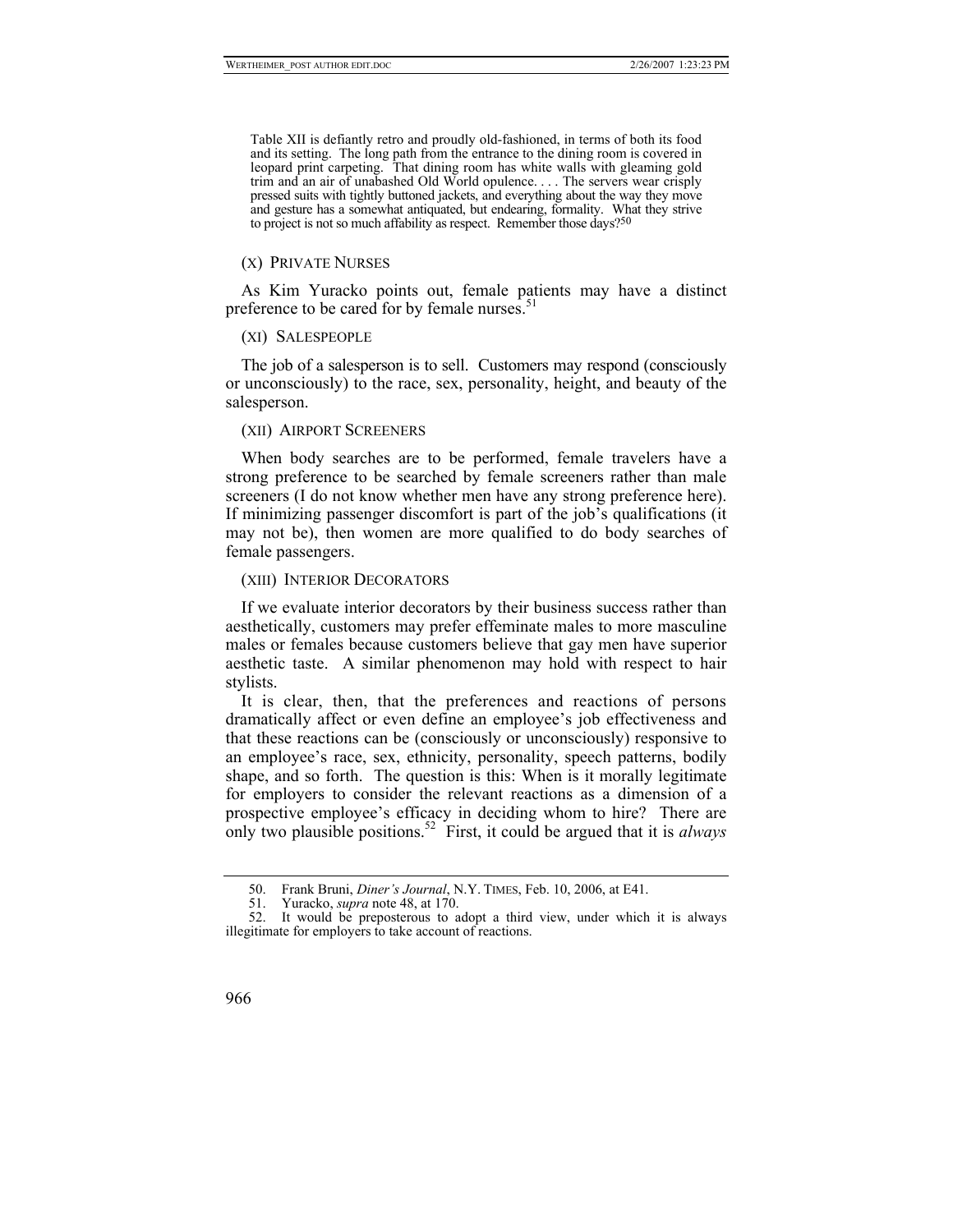Table XII is defiantly retro and proudly old-fashioned, in terms of both its food and its setting. The long path from the entrance to the dining room is covered in leopard print carpeting. That dining room has white walls with gleaming gold trim and an air of unabashed Old World opulence. . . . The servers wear crisply pressed suits with tightly buttoned jackets, and everything about the way they move and gesture has a somewhat antiquated, but endearing, formality. What they strive to project is not so much affability as respect. Remember those days[?](#page-21-0)<sup>50</sup>

#### (X) PRIVATE NURSES

As Kim Yuracko points out, female patients may have a distinct preference to be cared for by female nurses. $51$ 

#### (XI) SALESPEOPLE

The job of a salesperson is to sell. Customers may respond (consciously or unconsciously) to the race, sex, personality, height, and beauty of the salesperson.

#### (XII) AIRPORT SCREENERS

When body searches are to be performed, female travelers have a strong preference to be searched by female screeners rather than male screeners (I do not know whether men have any strong preference here). If minimizing passenger discomfort is part of the job's qualifications (it may not be), then women are more qualified to do body searches of female passengers.

## (XIII) INTERIOR DECORATORS

If we evaluate interior decorators by their business success rather than aesthetically, customers may prefer effeminate males to more masculine males or females because customers believe that gay men have superior aesthetic taste. A similar phenomenon may hold with respect to hair stylists.

It is clear, then, that the preferences and reactions of persons dramatically affect or even define an employee's job effectiveness and that these reactions can be (consciously or unconsciously) responsive to an employee's race, sex, ethnicity, personality, speech patterns, bodily shape, and so forth. The question is this: When is it morally legitimate for employers to consider the relevant reactions as a dimension of a prospective employee's efficacy in deciding whom to hire? There are only two plausible positions[.52](#page-21-2) First, it could be argued that it is *always*

<sup>52.</sup> It would be preposterous to adopt a third view, under which it is always illegitimate for employers to take account of reactions.



<span id="page-21-0"></span><sup>50.</sup> Frank Bruni, *Diner's Journal*, N.Y. TIMES, Feb. 10, 2006, at E41.

<span id="page-21-2"></span><span id="page-21-1"></span><sup>51.</sup> Yuracko, *supra* note 48, at 170.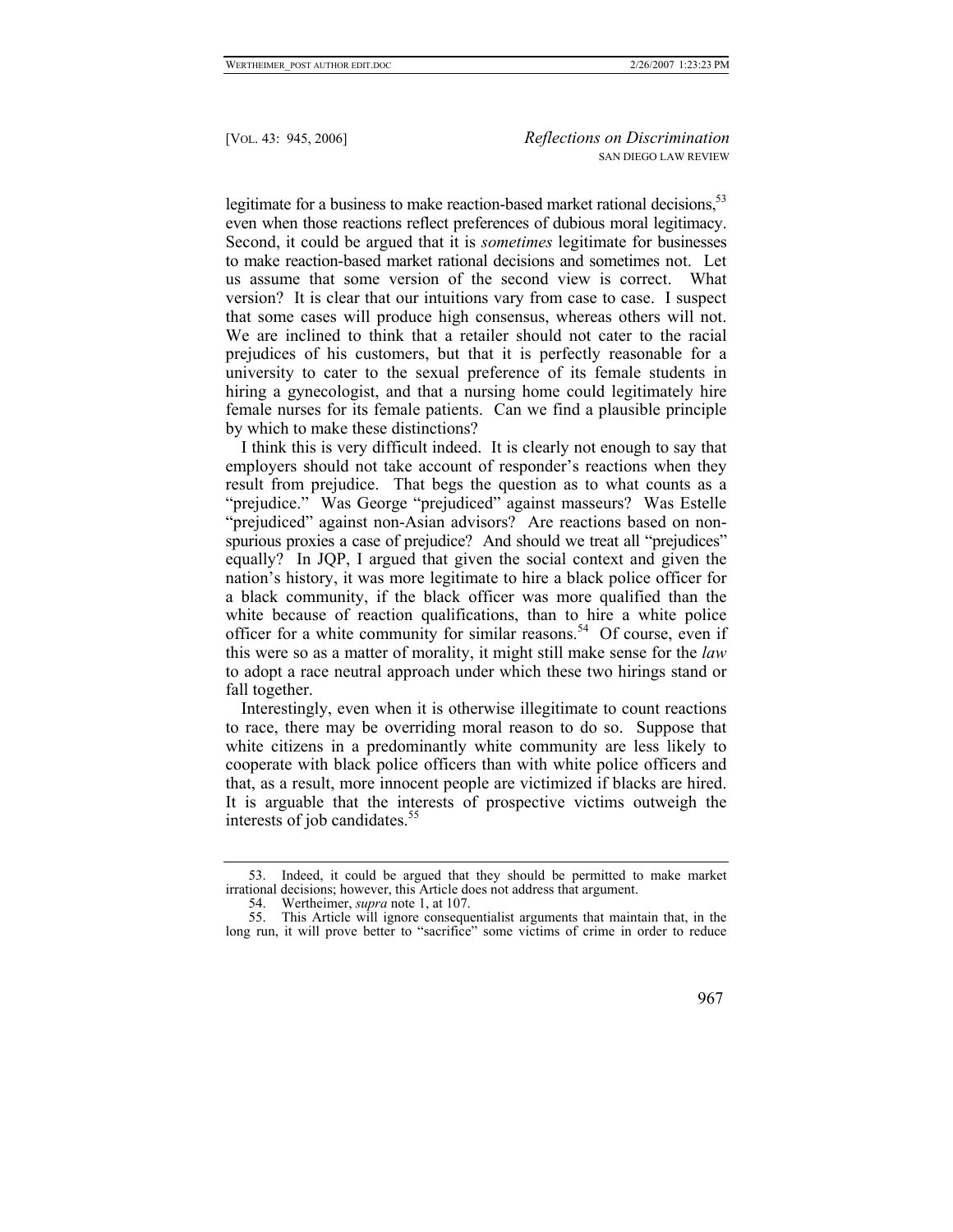legitimate for a business to make reaction-based market rational decisions.<sup>53</sup> even when those reactions reflect preferences of dubious moral legitimacy. Second, it could be argued that it is *sometimes* legitimate for businesses to make reaction-based market rational decisions and sometimes not. Let us assume that some version of the second view is correct. What version? It is clear that our intuitions vary from case to case. I suspect that some cases will produce high consensus, whereas others will not. We are inclined to think that a retailer should not cater to the racial prejudices of his customers, but that it is perfectly reasonable for a university to cater to the sexual preference of its female students in hiring a gynecologist, and that a nursing home could legitimately hire female nurses for its female patients. Can we find a plausible principle by which to make these distinctions?

I think this is very difficult indeed. It is clearly not enough to say that employers should not take account of responder's reactions when they result from prejudice. That begs the question as to what counts as a "prejudice." Was George "prejudiced" against masseurs? Was Estelle "prejudiced" against non-Asian advisors? Are reactions based on nonspurious proxies a case of prejudice? And should we treat all "prejudices" equally? In JQP, I argued that given the social context and given the nation's history, it was more legitimate to hire a black police officer for a black community, if the black officer was more qualified than the white because of reaction qualifications, than to hire a white police officer for a white community for similar reasons.<sup>54</sup> Of course, even if this were so as a matter of morality, it might still make sense for the *law*  to adopt a race neutral approach under which these two hirings stand or fall together.

Interestingly, even when it is otherwise illegitimate to count reactions to race, there may be overriding moral reason to do so. Suppose that white citizens in a predominantly white community are less likely to cooperate with black police officers than with white police officers and that, as a result, more innocent people are victimized if blacks are hired. It is arguable that the interests of prospective victims outweigh the interests of job candidates.<sup>55</sup>

<sup>55.</sup> This Article will ignore consequentialist arguments that maintain that, in the long run, it will prove better to "sacrifice" some victims of crime in order to reduce



<span id="page-22-0"></span><sup>53.</sup> Indeed, it could be argued that they should be permitted to make market irrational decisions; however, this Article does not address that argument.

<span id="page-22-2"></span><span id="page-22-1"></span><sup>54.</sup> Wertheimer, *supra* note 1, at 107.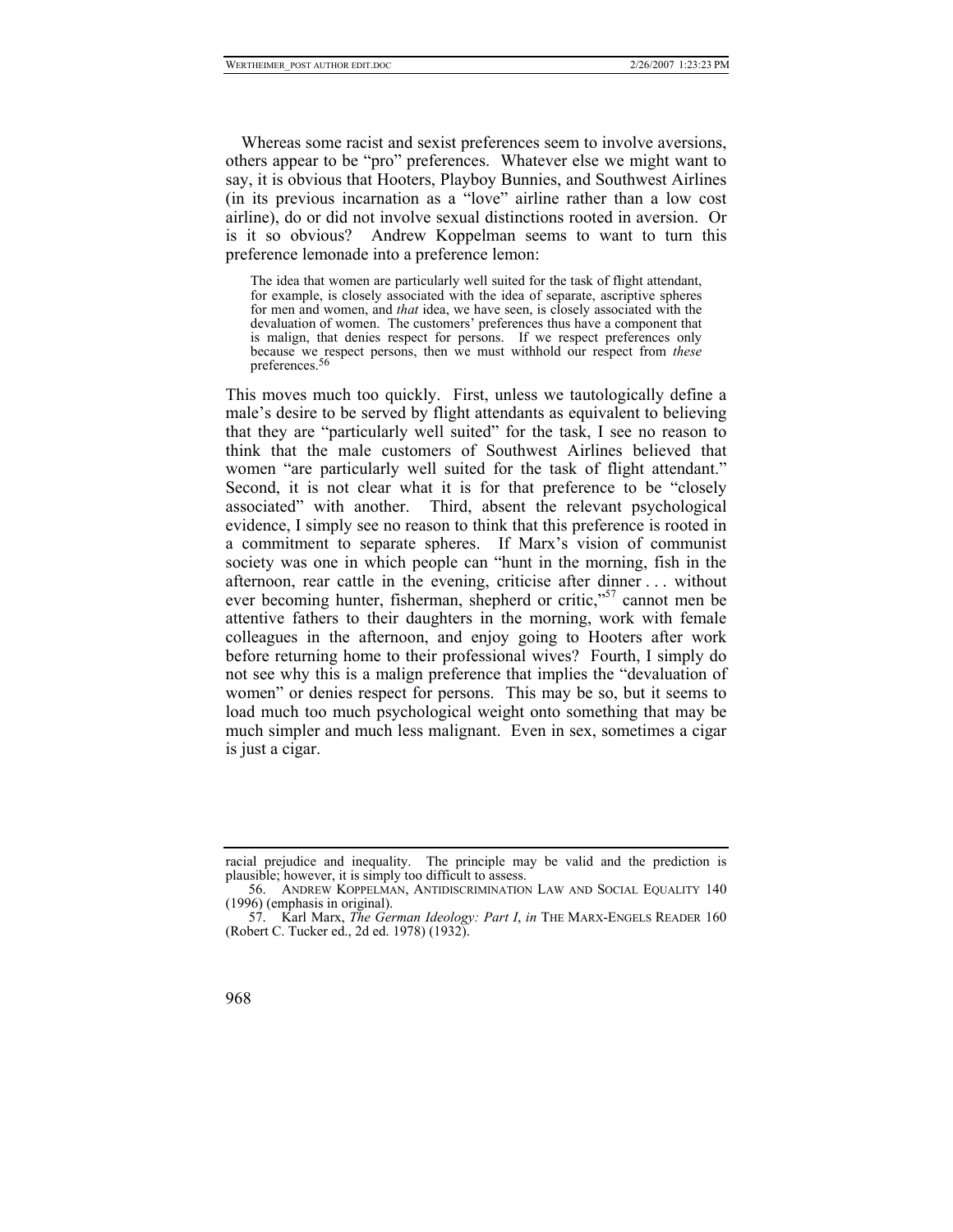Whereas some racist and sexist preferences seem to involve aversions, others appear to be "pro" preferences. Whatever else we might want to say, it is obvious that Hooters, Playboy Bunnies, and Southwest Airlines (in its previous incarnation as a "love" airline rather than a low cost airline), do or did not involve sexual distinctions rooted in aversion. Or is it so obvious? Andrew Koppelman seems to want to turn this preference lemonade into a preference lemon:

The idea that women are particularly well suited for the task of flight attendant, for example, is closely associated with the idea of separate, ascriptive spheres for men and women, and *that* idea, we have seen, is closely associated with the devaluation of women. The customers' preferences thus have a component that is malign, that denies respect for persons. If we respect preferences only because we respect persons, then we must withhold our respect from *these* preferences[.](#page-23-0)56

This moves much too quickly. First, unless we tautologically define a male's desire to be served by flight attendants as equivalent to believing that they are "particularly well suited" for the task, I see no reason to think that the male customers of Southwest Airlines believed that women "are particularly well suited for the task of flight attendant." Second, it is not clear what it is for that preference to be "closely associated" with another. Third, absent the relevant psychological evidence, I simply see no reason to think that this preference is rooted in a commitment to separate spheres. If Marx's vision of communist society was one in which people can "hunt in the morning, fish in the afternoon, rear cattle in the evening, criticise after dinner . . . without ever becoming hunter, fisherman, shepherd or critic,"<sup>57</sup> cannot men be attentive fathers to their daughters in the morning, work with female colleagues in the afternoon, and enjoy going to Hooters after work before returning home to their professional wives? Fourth, I simply do not see why this is a malign preference that implies the "devaluation of women" or denies respect for persons. This may be so, but it seems to load much too much psychological weight onto something that may be much simpler and much less malignant. Even in sex, sometimes a cigar is just a cigar.

<span id="page-23-1"></span><sup>57.</sup> Karl Marx, *The German Ideology: Part I*, *in* THE MARX-ENGELS READER 160 (Robert C. Tucker ed., 2d ed. 1978) (1932).



racial prejudice and inequality. The principle may be valid and the prediction is plausible; however, it is simply too difficult to assess.

<span id="page-23-0"></span><sup>56.</sup> ANDREW KOPPELMAN, ANTIDISCRIMINATION LAW AND SOCIAL EQUALITY 140 (1996) (emphasis in original).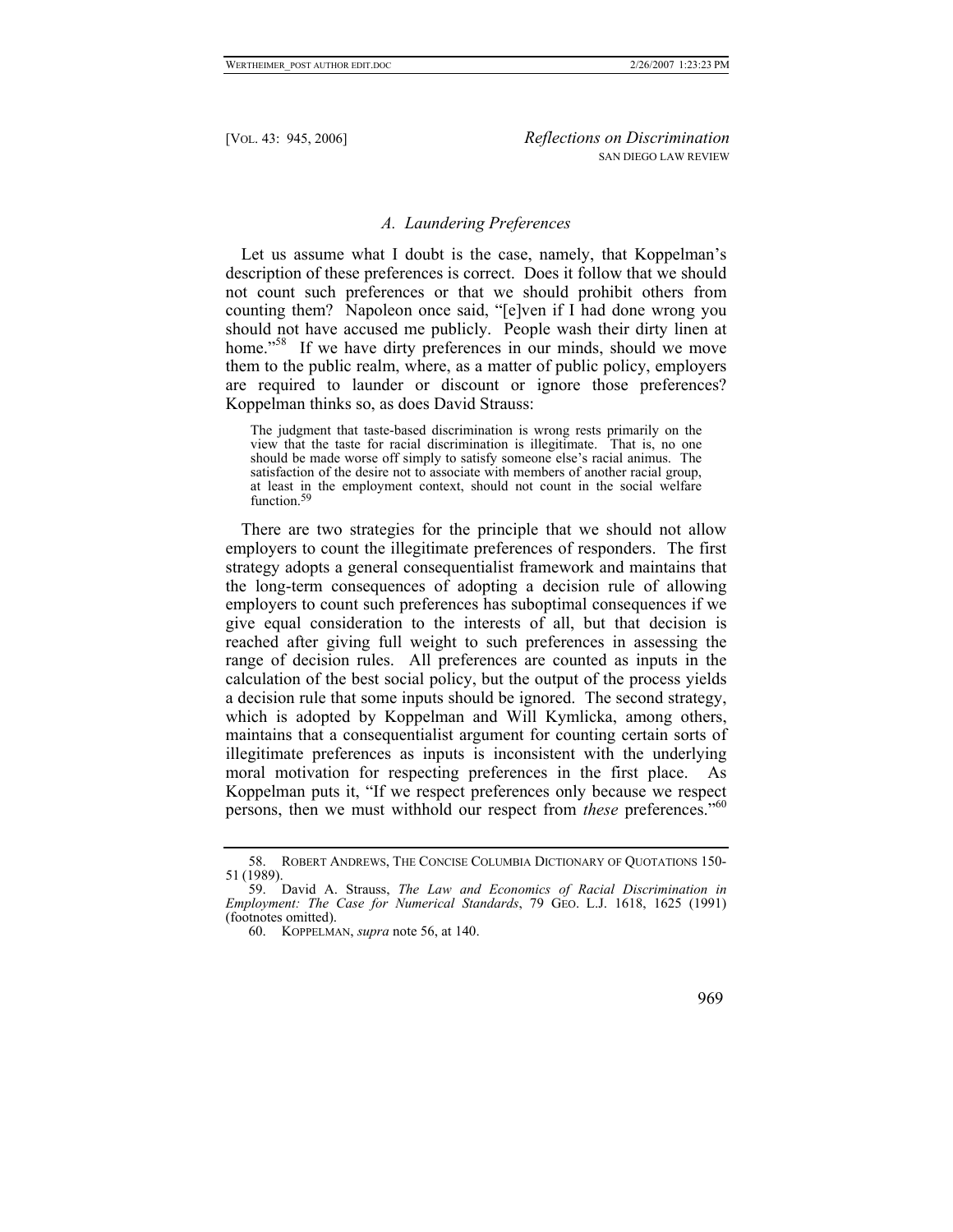# *A. Laundering Preferences*

Let us assume what I doubt is the case, namely, that Koppelman's description of these preferences is correct. Does it follow that we should not count such preferences or that we should prohibit others from counting them? Napoleon once said, "[e]ven if I had done wrong you should not have accused me publicly. People wash their dirty linen at home."<sup>58</sup> If we have dirty preferences in our minds, should we move them to the public realm, where, as a matter of public policy, employers are required to launder or discount or ignore those preferences? Koppelman thinks so, as does David Strauss:

The judgment that taste-based discrimination is wrong rests primarily on the view that the taste for racial discrimination is illegitimate. That is, no one should be made worse off simply to satisfy someone else's racial animus. The satisfaction of the desire not to associate with members of another racial group, at least in the employment context, should not count in the social welfare function[.](#page-24-1)<sup>59</sup>

There are two strategies for the principle that we should not allow employers to count the illegitimate preferences of responders. The first strategy adopts a general consequentialist framework and maintains that the long-term consequences of adopting a decision rule of allowing employers to count such preferences has suboptimal consequences if we give equal consideration to the interests of all, but that decision is reached after giving full weight to such preferences in assessing the range of decision rules. All preferences are counted as inputs in the calculation of the best social policy, but the output of the process yields a decision rule that some inputs should be ignored. The second strategy, which is adopted by Koppelman and Will Kymlicka, among others, maintains that a consequentialist argument for counting certain sorts of illegitimate preferences as inputs is inconsistent with the underlying moral motivation for respecting preferences in the first place. As Koppelman puts it, "If we respect preferences only because we respect persons, then we must withhold our respect from *these* preferences."<sup>60</sup>

<span id="page-24-0"></span><sup>58.</sup> ROBERT ANDREWS, THE CONCISE COLUMBIA DICTIONARY OF QUOTATIONS 150- 51 (1989).

<span id="page-24-1"></span><sup>59.</sup> David A. Strauss, *The Law and Economics of Racial Discrimination in Employment: The Case for Numerical Standards*, 79 GEO. L.J. 1618, 1625 (1991) (footnotes omitted).

<span id="page-24-2"></span><sup>60.</sup> KOPPELMAN, *supra* note 56, at 140.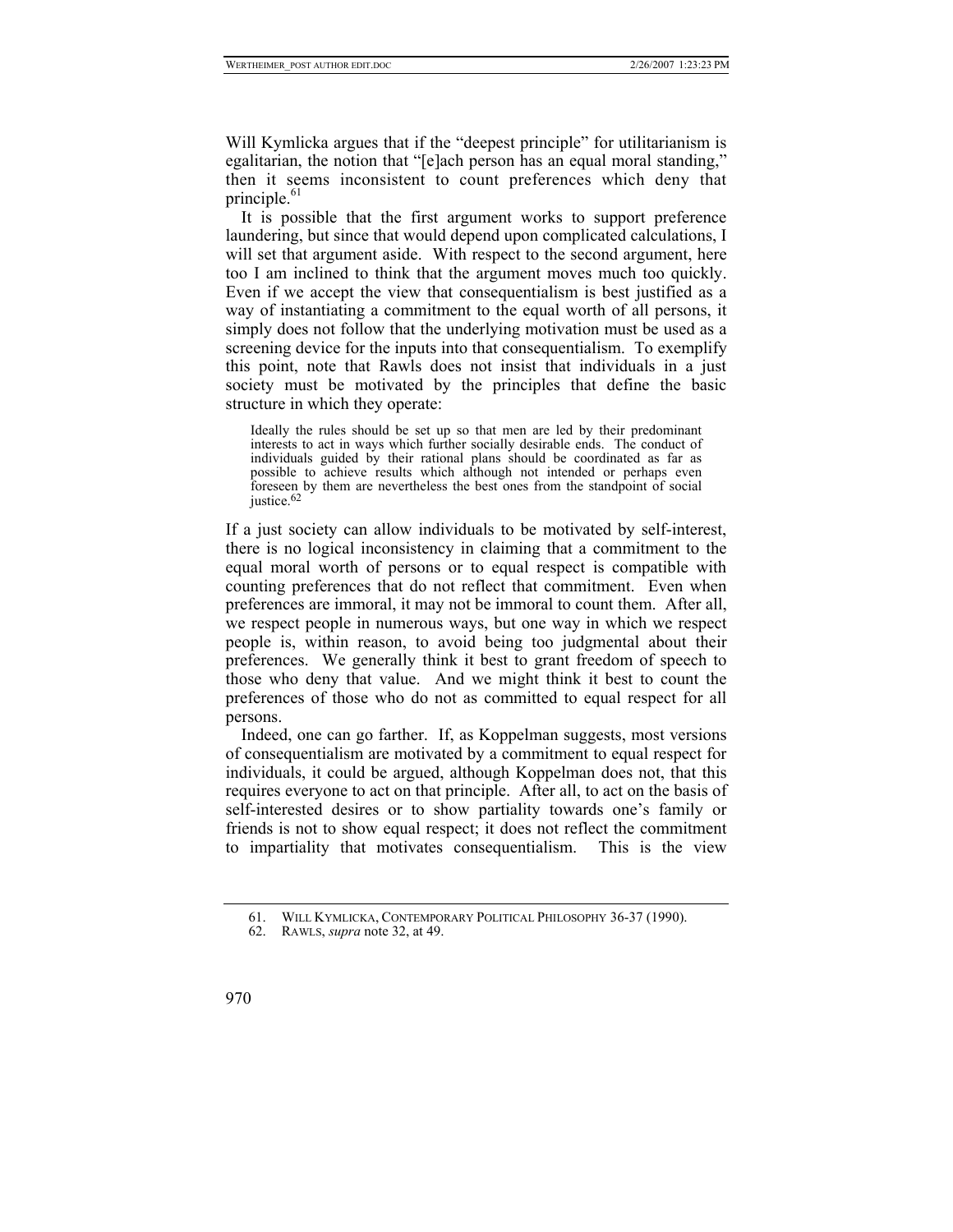Will Kymlicka argues that if the "deepest principle" for utilitarianism is egalitarian, the notion that "[e]ach person has an equal moral standing," then it seems inconsistent to count preferences which deny that principle. $61$ 

It is possible that the first argument works to support preference laundering, but since that would depend upon complicated calculations, I will set that argument aside. With respect to the second argument, here too I am inclined to think that the argument moves much too quickly. Even if we accept the view that consequentialism is best justified as a way of instantiating a commitment to the equal worth of all persons, it simply does not follow that the underlying motivation must be used as a screening device for the inputs into that consequentialism. To exemplify this point, note that Rawls does not insist that individuals in a just society must be motivated by the principles that define the basic structure in which they operate:

Ideally the rules should be set up so that men are led by their predominant interests to act in ways which further socially desirable ends. The conduct of individuals guided by their rational plans should be coordinated as far as possible to achieve results which although not intended or perhaps even foreseen by them are nevertheless the best ones from the standpoint of social justice[.](#page-25-1)<sup>62</sup>

If a just society can allow individuals to be motivated by self-interest, there is no logical inconsistency in claiming that a commitment to the equal moral worth of persons or to equal respect is compatible with counting preferences that do not reflect that commitment. Even when preferences are immoral, it may not be immoral to count them. After all, we respect people in numerous ways, but one way in which we respect people is, within reason, to avoid being too judgmental about their preferences. We generally think it best to grant freedom of speech to those who deny that value. And we might think it best to count the preferences of those who do not as committed to equal respect for all persons.

Indeed, one can go farther. If, as Koppelman suggests, most versions of consequentialism are motivated by a commitment to equal respect for individuals, it could be argued, although Koppelman does not, that this requires everyone to act on that principle. After all, to act on the basis of self-interested desires or to show partiality towards one's family or friends is not to show equal respect; it does not reflect the commitment to impartiality that motivates consequentialism. This is the view

<span id="page-25-0"></span><sup>61.</sup> WILL KYMLICKA, CONTEMPORARY POLITICAL PHILOSOPHY 36-37 (1990).

<span id="page-25-1"></span><sup>62.</sup> RAWLS, *supra* note 32, at 49.

<sup>970</sup>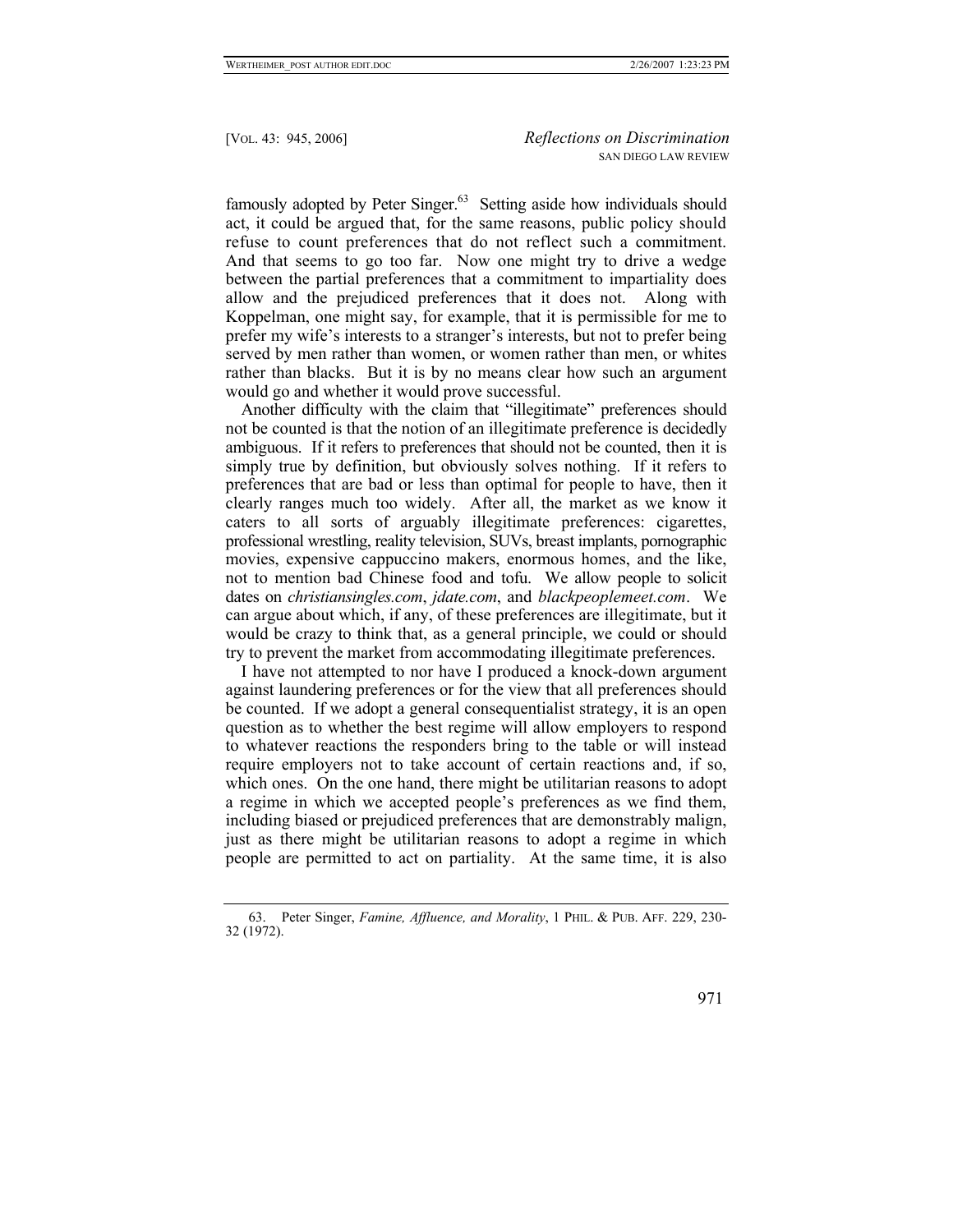famously adopted by Peter Singer. $63$  Setting aside how individuals should act, it could be argued that, for the same reasons, public policy should refuse to count preferences that do not reflect such a commitment. And that seems to go too far. Now one might try to drive a wedge between the partial preferences that a commitment to impartiality does allow and the prejudiced preferences that it does not. Along with Koppelman, one might say, for example, that it is permissible for me to prefer my wife's interests to a stranger's interests, but not to prefer being served by men rather than women, or women rather than men, or whites rather than blacks. But it is by no means clear how such an argument would go and whether it would prove successful.

Another difficulty with the claim that "illegitimate" preferences should not be counted is that the notion of an illegitimate preference is decidedly ambiguous. If it refers to preferences that should not be counted, then it is simply true by definition, but obviously solves nothing. If it refers to preferences that are bad or less than optimal for people to have, then it clearly ranges much too widely. After all, the market as we know it caters to all sorts of arguably illegitimate preferences: cigarettes, professional wrestling, reality television, SUVs, breast implants, pornographic movies, expensive cappuccino makers, enormous homes, and the like, not to mention bad Chinese food and tofu. We allow people to solicit dates on *christiansingles.com*, *jdate.com*, and *blackpeoplemeet.com*. We can argue about which, if any, of these preferences are illegitimate, but it would be crazy to think that, as a general principle, we could or should try to prevent the market from accommodating illegitimate preferences.

I have not attempted to nor have I produced a knock-down argument against laundering preferences or for the view that all preferences should be counted. If we adopt a general consequentialist strategy, it is an open question as to whether the best regime will allow employers to respond to whatever reactions the responders bring to the table or will instead require employers not to take account of certain reactions and, if so, which ones. On the one hand, there might be utilitarian reasons to adopt a regime in which we accepted people's preferences as we find them, including biased or prejudiced preferences that are demonstrably malign, just as there might be utilitarian reasons to adopt a regime in which people are permitted to act on partiality. At the same time, it is also

<span id="page-26-0"></span><sup>63.</sup> Peter Singer, *Famine, Affluence, and Morality*, 1 PHIL. & PUB. AFF. 229, 230- 32 (1972).

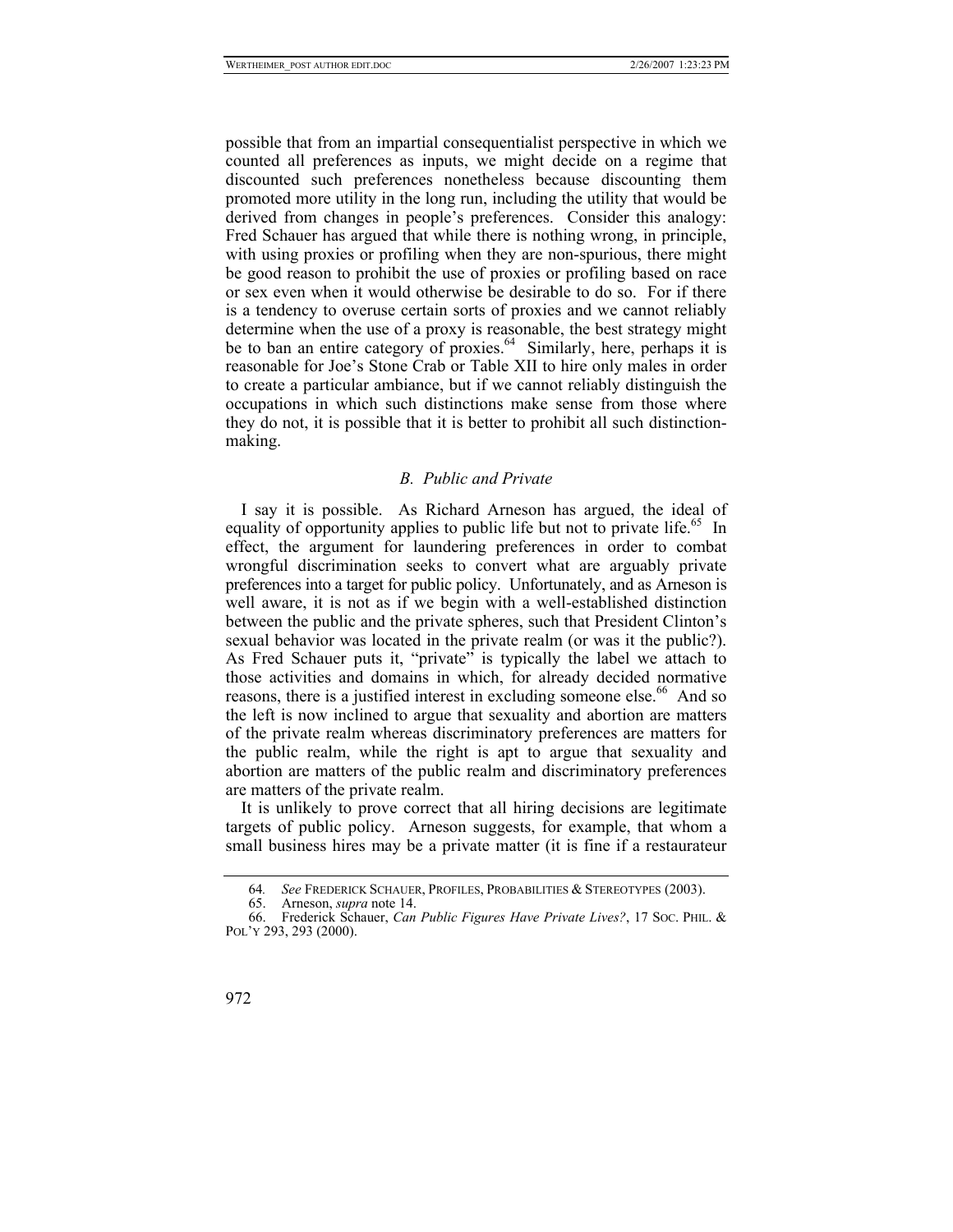possible that from an impartial consequentialist perspective in which we counted all preferences as inputs, we might decide on a regime that discounted such preferences nonetheless because discounting them promoted more utility in the long run, including the utility that would be derived from changes in people's preferences. Consider this analogy: Fred Schauer has argued that while there is nothing wrong, in principle, with using proxies or profiling when they are non-spurious, there might be good reason to prohibit the use of proxies or profiling based on race or sex even when it would otherwise be desirable to do so. For if there is a tendency to overuse certain sorts of proxies and we cannot reliably determine when the use of a proxy is reasonable, the best strategy might be to ban an entire category of proxies.<sup>64</sup> Similarly, here, perhaps it is reasonable for Joe's Stone Crab or Table XII to hire only males in order to create a particular ambiance, but if we cannot reliably distinguish the occupations in which such distinctions make sense from those where they do not, it is possible that it is better to prohibit all such distinctionmaking.

# *B. Public and Private*

I say it is possible. As Richard Arneson has argued, the ideal of equality of opportunity applies to public life but not to private life.<sup>65</sup> In effect, the argument for laundering preferences in order to combat wrongful discrimination seeks to convert what are arguably private preferences into a target for public policy. Unfortunately, and as Arneson is well aware, it is not as if we begin with a well-established distinction between the public and the private spheres, such that President Clinton's sexual behavior was located in the private realm (or was it the public?). As Fred Schauer puts it, "private" is typically the label we attach to those activities and domains in which, for already decided normative reasons, there is a justified interest in excluding someone else.<sup>66</sup> And so the left is now inclined to argue that sexuality and abortion are matters of the private realm whereas discriminatory preferences are matters for the public realm, while the right is apt to argue that sexuality and abortion are matters of the public realm and discriminatory preferences are matters of the private realm.

It is unlikely to prove correct that all hiring decisions are legitimate targets of public policy. Arneson suggests, for example, that whom a small business hires may be a private matter (it is fine if a restaurateur

<sup>66.</sup> Frederick Schauer, *Can Public Figures Have Private Lives?*, 17 SOC. PHIL. & POL'Y 293, 293 (2000).



<span id="page-27-0"></span><sup>64</sup>*. See* FREDERICK SCHAUER, PROFILES, PROBABILITIES & STEREOTYPES (2003).

<span id="page-27-2"></span><span id="page-27-1"></span><sup>65.</sup> Arneson, *supra* note 14.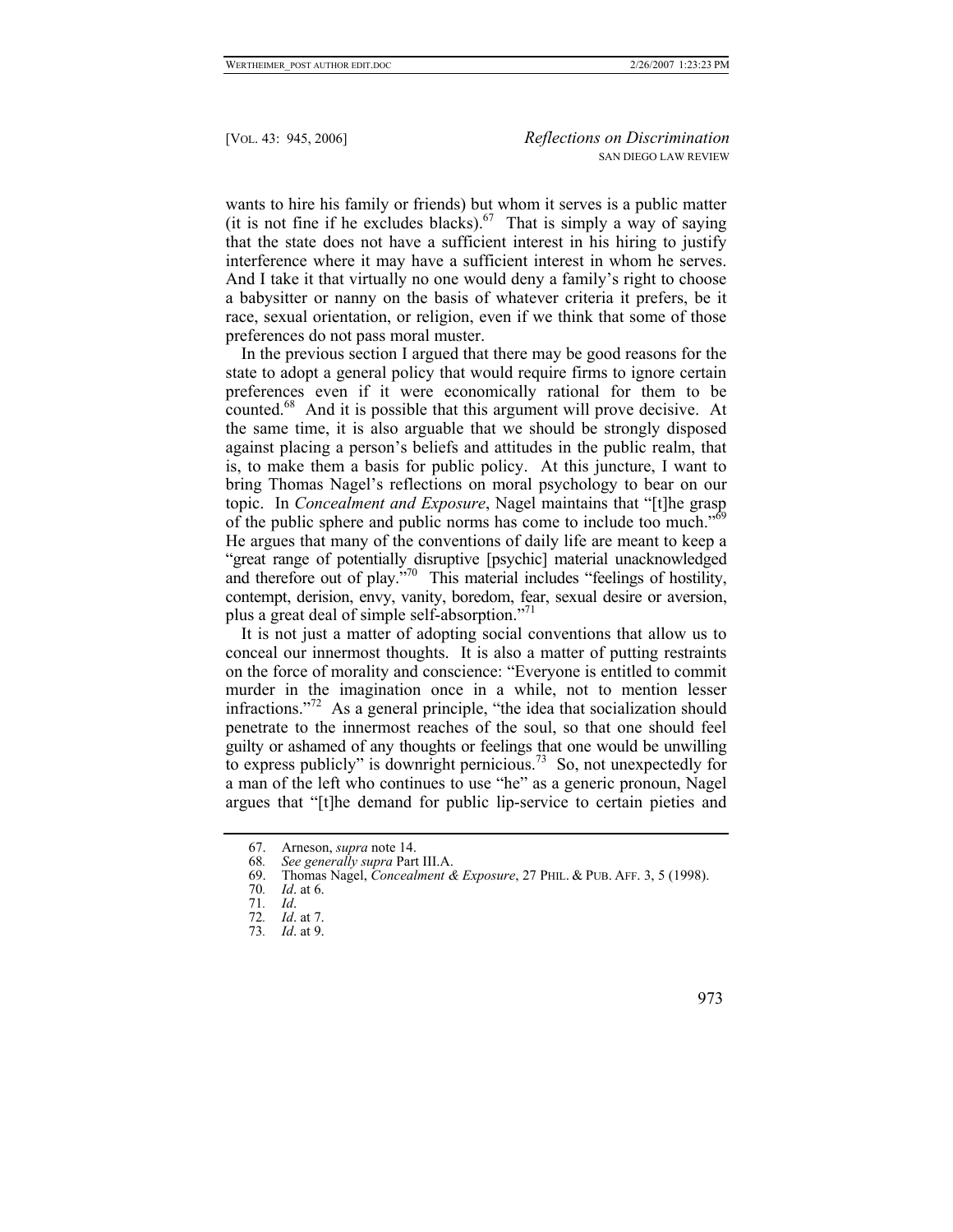wants to hire his family or friends) but whom it serves is a public matter (it is not fine if he excludes blacks).<sup>67</sup> That is simply a way of saying that the state does not have a sufficient interest in his hiring to justify interference where it may have a sufficient interest in whom he serves. And I take it that virtually no one would deny a family's right to choose a babysitter or nanny on the basis of whatever criteria it prefers, be it race, sexual orientation, or religion, even if we think that some of those preferences do not pass moral muster.

In the previous section I argued that there may be good reasons for the state to adopt a general policy that would require firms to ignore certain preferences even if it were economically rational for them to be counted.<sup>68</sup> And it is possible that this argument will prove decisive. At the same time, it is also arguable that we should be strongly disposed against placing a person's beliefs and attitudes in the public realm, that is, to make them a basis for public policy. At this juncture, I want to bring Thomas Nagel's reflections on moral psychology to bear on our topic. In *Concealment and Exposure*, Nagel maintains that "[t]he grasp of the public sphere and public norms has come to include too much."<sup>69</sup> He argues that many of the conventions of daily life are meant to keep a "great range of potentially disruptive [psychic] material unacknowledged and therefore out of play."<sup>70</sup> This material includes "feelings of hostility, contempt, derision, envy, vanity, boredom, fear, sexual desire or aversion, plus a great deal of simple self-absorption."<sup>71</sup>

It is not just a matter of adopting social conventions that allow us to conceal our innermost thoughts. It is also a matter of putting restraints on the force of morality and conscience: "Everyone is entitled to commit murder in the imagination once in a while, not to mention lesser infractions."[72](#page-28-5) As a general principle, "the idea that socialization should penetrate to the innermost reaches of the soul, so that one should feel guilty or ashamed of any thoughts or feelings that one would be unwilling to express publicly" is downright pernicious.<sup>73</sup> So, not unexpectedly for a man of the left who continues to use "he" as a generic pronoun, Nagel argues that "[t]he demand for public lip-service to certain pieties and

<span id="page-28-0"></span><sup>67.</sup> Arneson, *supra* note 14.

<span id="page-28-1"></span><sup>68</sup>*. See generally supra* Part III.A.

<span id="page-28-2"></span><sup>69.</sup> Thomas Nagel, *Concealment & Exposure*, 27 PHIL. & PUB. AFF. 3, 5 (1998).

<span id="page-28-3"></span><sup>70</sup>*. Id*. at 6.

<span id="page-28-4"></span><sup>71</sup>*. Id*.

<span id="page-28-5"></span><sup>72</sup>*. Id*. at 7.

<span id="page-28-6"></span><sup>73</sup>*. Id*. at 9.

 <sup>973</sup>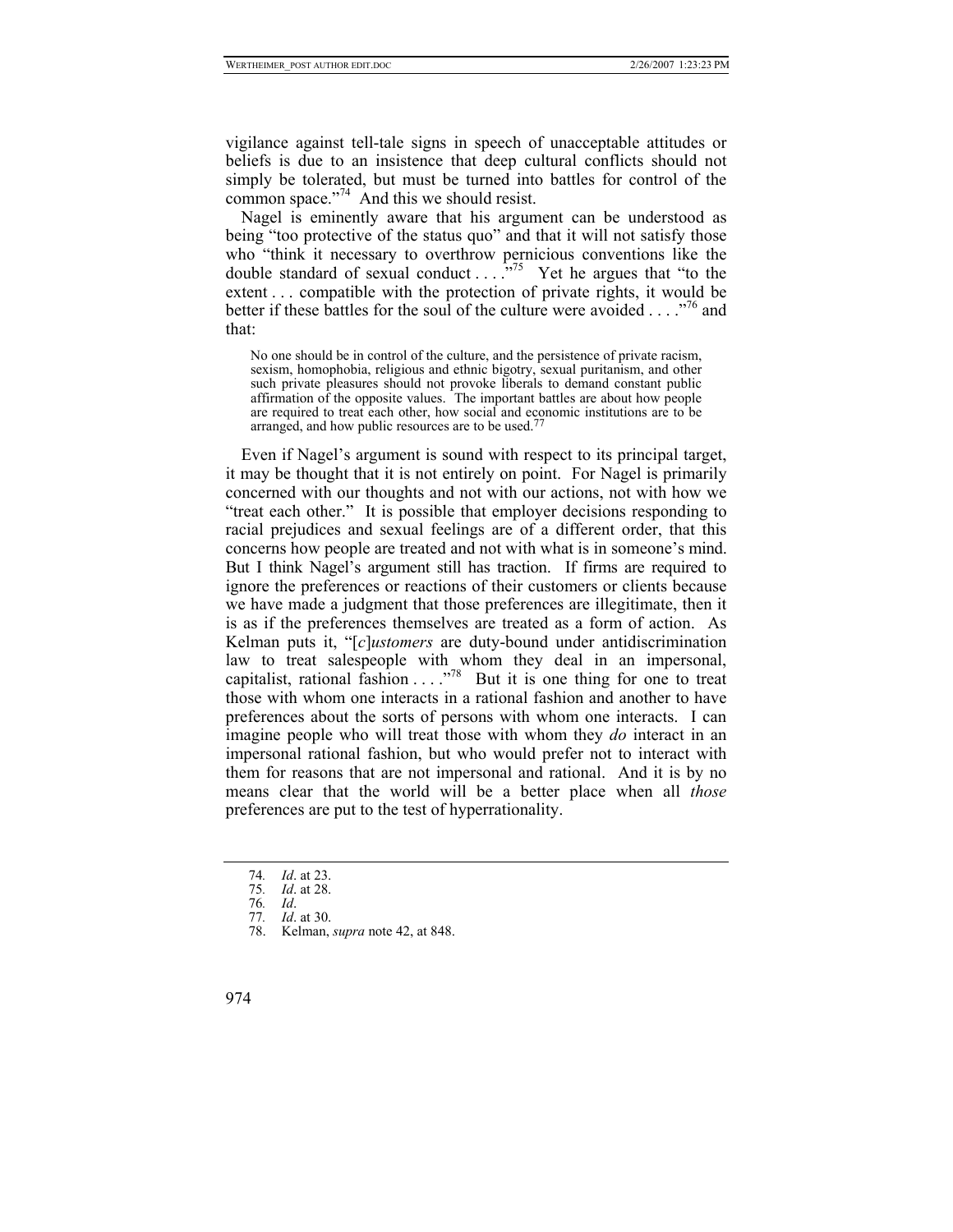vigilance against tell-tale signs in speech of unacceptable attitudes or beliefs is due to an insistence that deep cultural conflicts should not simply be tolerated, but must be turned into battles for control of the common space."<sup>74</sup> And this we should resist.

Nagel is eminently aware that his argument can be understood as being "too protective of the status quo" and that it will not satisfy those who "think it necessary to overthrow pernicious conventions like the double standard of sexual conduct  $\ldots$ <sup>575</sup> Yet he argues that "to the extent . . . compatible with the protection of private rights, it would be better if these battles for the soul of the culture were avoided . . . .<sup>776</sup> and that:

No one should be in control of the culture, and the persistence of private racism, sexism, homophobia, religious and ethnic bigotry, sexual puritanism, and other such private pleasures should not provoke liberals to demand constant public affirmation of the opposite values. The important battles are about how people are required to treat each other, how social and economic institutions are to be arranged, and how public resources are to be used[.](#page-29-3)77

Even if Nagel's argument is sound with respect to its principal target, it may be thought that it is not entirely on point. For Nagel is primarily concerned with our thoughts and not with our actions, not with how we "treat each other." It is possible that employer decisions responding to racial prejudices and sexual feelings are of a different order, that this concerns how people are treated and not with what is in someone's mind. But I think Nagel's argument still has traction. If firms are required to ignore the preferences or reactions of their customers or clients because we have made a judgment that those preferences are illegitimate, then it is as if the preferences themselves are treated as a form of action. As Kelman puts it, "[*c*]*ustomers* are duty-bound under antidiscrimination law to treat salespeople with whom they deal in an impersonal, capitalist, rational fashion  $\ldots$ ."<sup>78</sup> But it is one thing for one to treat those with whom one interacts in a rational fashion and another to have preferences about the sorts of persons with whom one interacts. I can imagine people who will treat those with whom they *do* interact in an impersonal rational fashion, but who would prefer not to interact with them for reasons that are not impersonal and rational. And it is by no means clear that the world will be a better place when all *those* preferences are put to the test of hyperrationality.

<span id="page-29-0"></span><sup>74</sup>*. Id*. at 23.

<span id="page-29-1"></span><sup>75</sup>*. Id*. at 28.

<span id="page-29-2"></span><sup>76</sup>*. Id*.

<span id="page-29-3"></span><sup>77</sup>*. Id*. at 30.

<span id="page-29-4"></span><sup>78.</sup> Kelman, *supra* note 42, at 848.

<sup>974</sup>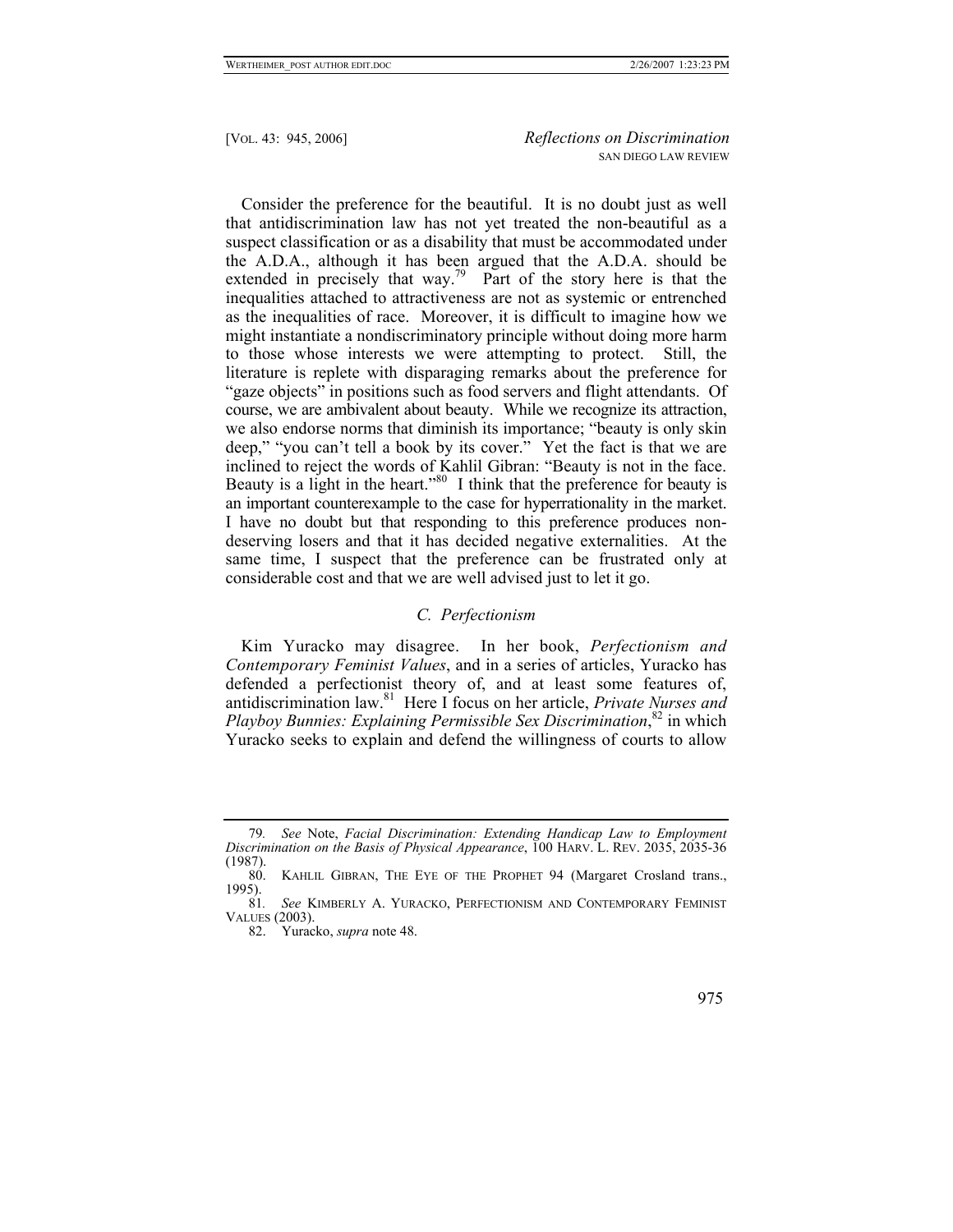Consider the preference for the beautiful. It is no doubt just as well that antidiscrimination law has not yet treated the non-beautiful as a suspect classification or as a disability that must be accommodated under the A.D.A., although it has been argued that the A.D.A. should be extended in precisely that way.<sup>79</sup> Part of the story here is that the inequalities attached to attractiveness are not as systemic or entrenched as the inequalities of race. Moreover, it is difficult to imagine how we might instantiate a nondiscriminatory principle without doing more harm to those whose interests we were attempting to protect. Still, the literature is replete with disparaging remarks about the preference for "gaze objects" in positions such as food servers and flight attendants. Of course, we are ambivalent about beauty. While we recognize its attraction, we also endorse norms that diminish its importance; "beauty is only skin deep," "you can't tell a book by its cover." Yet the fact is that we are inclined to reject the words of Kahlil Gibran: "Beauty is not in the face. Beauty is a light in the heart."<sup>80</sup> I think that the preference for beauty is an important counterexample to the case for hyperrationality in the market. I have no doubt but that responding to this preference produces nondeserving losers and that it has decided negative externalities. At the same time, I suspect that the preference can be frustrated only at considerable cost and that we are well advised just to let it go.

# *C. Perfectionism*

Kim Yuracko may disagree. In her book, *Perfectionism and Contemporary Feminist Values*, and in a series of articles, Yuracko has defended a perfectionist theory of, and at least some features of, antidiscrimination law.[81](#page-30-2) Here I focus on her article, *Private Nurses and*  Playboy Bunnies: Explaining Permissible Sex Discrimination,<sup>82</sup> in which Yuracko seeks to explain and defend the willingness of courts to allow

<span id="page-30-0"></span><sup>79</sup>*. See* Note, *Facial Discrimination: Extending Handicap Law to Employment Discrimination on the Basis of Physical Appearance*, 100 HARV. L. REV. 2035, 2035-36 (1987).

<span id="page-30-1"></span><sup>80.</sup> KAHLIL GIBRAN, THE EYE OF THE PROPHET 94 (Margaret Crosland trans.,  $\frac{1995}{81}$ .

<span id="page-30-2"></span>See KIMBERLY A. YURACKO, PERFECTIONISM AND CONTEMPORARY FEMINIST VALUES (2003).

<span id="page-30-3"></span><sup>82.</sup> Yuracko, *supra* note 48.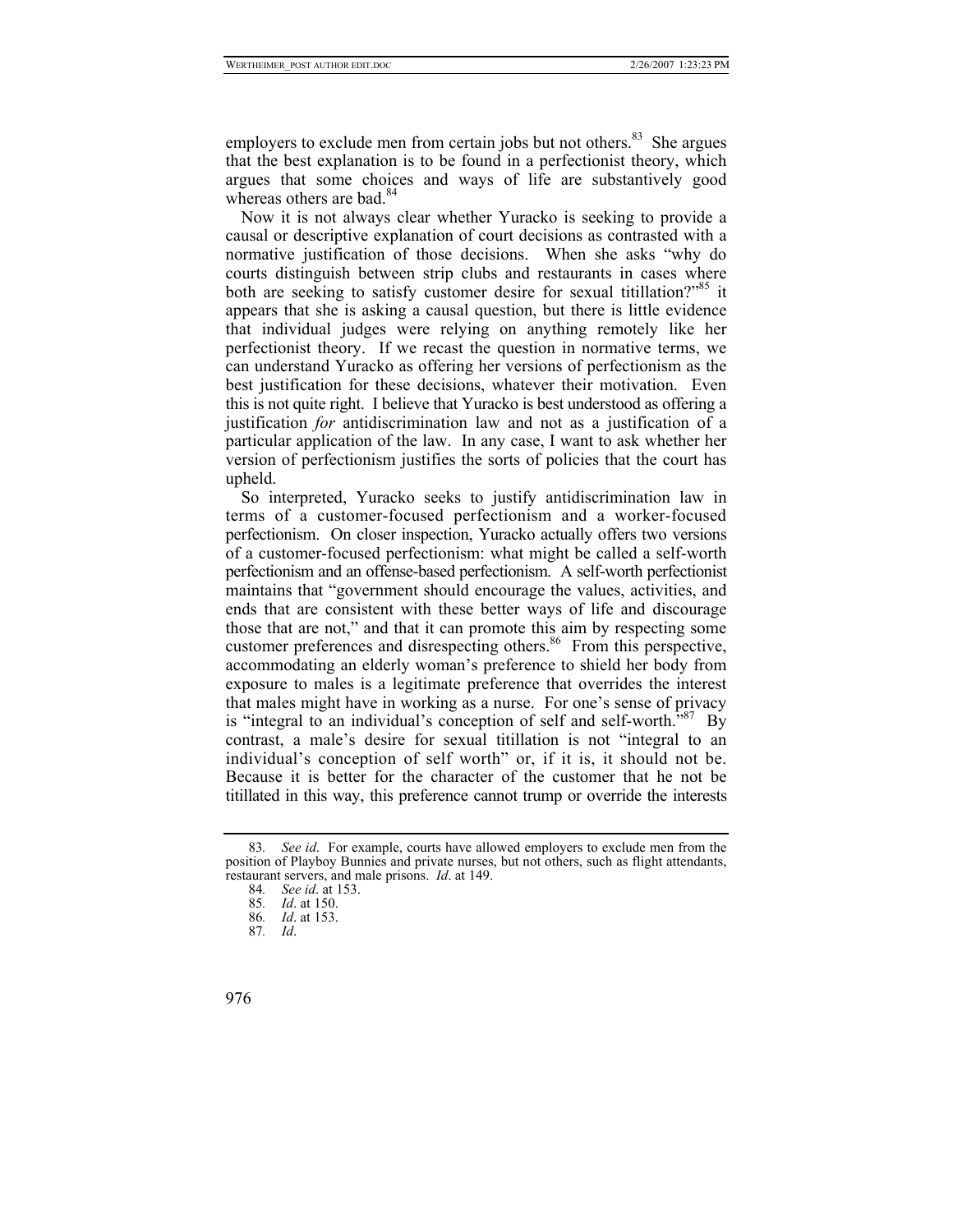employers to exclude men from certain jobs but not others.<sup>83</sup> She argues that the best explanation is to be found in a perfectionist theory, which argues that some choices and ways of life are substantively good whereas others are bad. $84$ 

Now it is not always clear whether Yuracko is seeking to provide a causal or descriptive explanation of court decisions as contrasted with a normative justification of those decisions. When she asks "why do courts distinguish between strip clubs and restaurants in cases where both are seeking to satisfy customer desire for sexual titillation?<sup>55</sup> it appears that she is asking a causal question, but there is little evidence that individual judges were relying on anything remotely like her perfectionist theory. If we recast the question in normative terms, we can understand Yuracko as offering her versions of perfectionism as the best justification for these decisions, whatever their motivation. Even this is not quite right. I believe that Yuracko is best understood as offering a justification *for* antidiscrimination law and not as a justification of a particular application of the law. In any case, I want to ask whether her version of perfectionism justifies the sorts of policies that the court has upheld.

So interpreted, Yuracko seeks to justify antidiscrimination law in terms of a customer-focused perfectionism and a worker-focused perfectionism. On closer inspection, Yuracko actually offers two versions of a customer-focused perfectionism: what might be called a self-worth perfectionism and an offense-based perfectionism. A self-worth perfectionist maintains that "government should encourage the values, activities, and ends that are consistent with these better ways of life and discourage those that are not," and that it can promote this aim by respecting some customer preferences and disrespecting others.<sup>86</sup> From this perspective, accommodating an elderly woman's preference to shield her body from exposure to males is a legitimate preference that overrides the interest that males might have in working as a nurse. For one's sense of privacy is "integral to an individual's conception of self and self-worth."<sup>87</sup> By contrast, a male's desire for sexual titillation is not "integral to an individual's conception of self worth" or, if it is, it should not be. Because it is better for the character of the customer that he not be titillated in this way, this preference cannot trump or override the interests

<span id="page-31-0"></span><sup>83</sup>*. See id*. For example, courts have allowed employers to exclude men from the position of Playboy Bunnies and private nurses, but not others, such as flight attendants, restaurant servers, and male prisons. *Id*. at 149.

<span id="page-31-1"></span><sup>84</sup>*. See id*. at 153.

<span id="page-31-2"></span><sup>85</sup>*. Id*. at 150.

<span id="page-31-3"></span><sup>86</sup>*. Id*. at 153.

<span id="page-31-4"></span><sup>87</sup>*. Id*.

<sup>976</sup>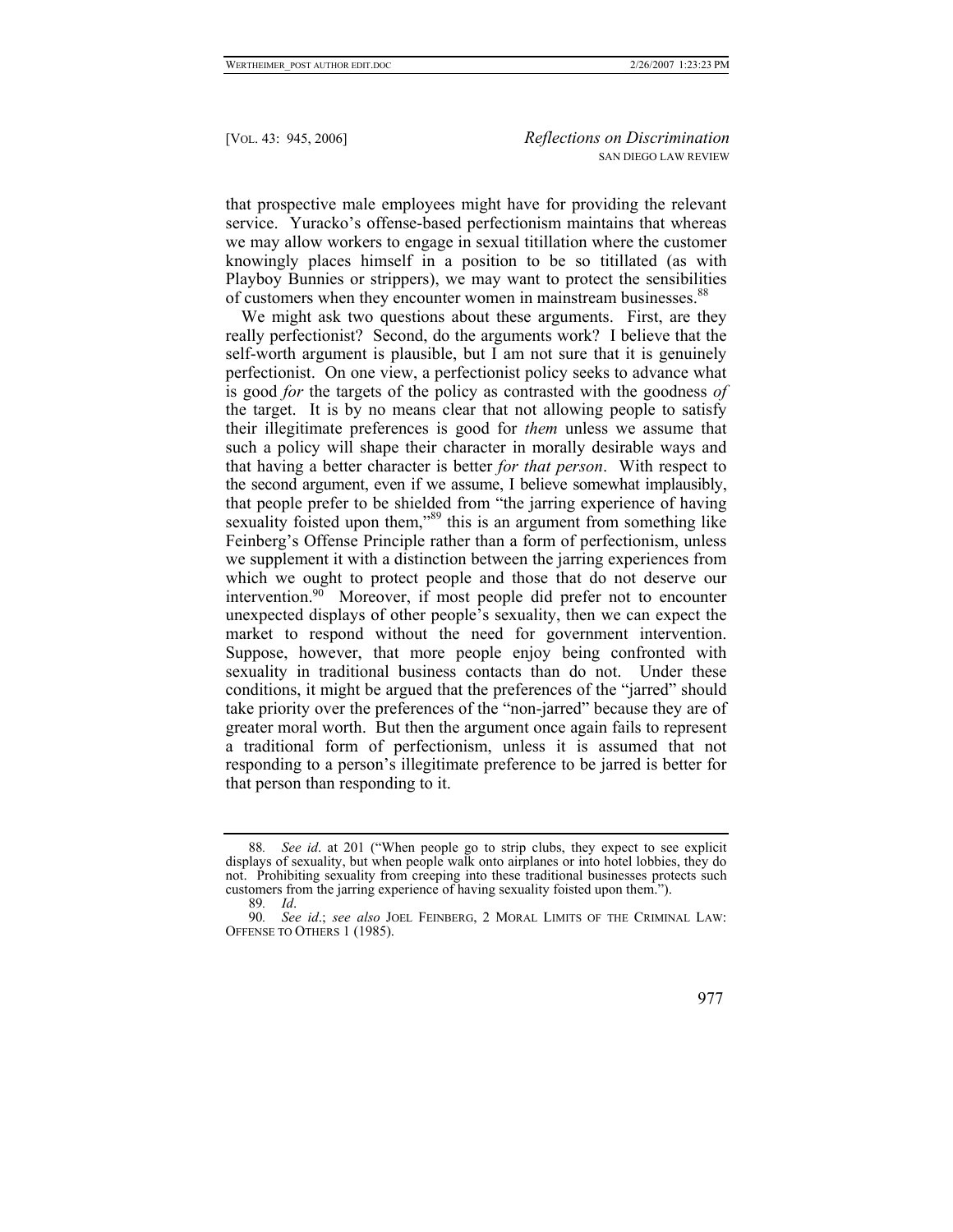that prospective male employees might have for providing the relevant service. Yuracko's offense-based perfectionism maintains that whereas we may allow workers to engage in sexual titillation where the customer knowingly places himself in a position to be so titillated (as with Playboy Bunnies or strippers), we may want to protect the sensibilities of customers when they encounter women in mainstream businesses.<sup>[88](#page-32-0)</sup>

We might ask two questions about these arguments. First, are they really perfectionist? Second, do the arguments work? I believe that the self-worth argument is plausible, but I am not sure that it is genuinely perfectionist. On one view, a perfectionist policy seeks to advance what is good *for* the targets of the policy as contrasted with the goodness *of* the target. It is by no means clear that not allowing people to satisfy their illegitimate preferences is good for *them* unless we assume that such a policy will shape their character in morally desirable ways and that having a better character is better *for that person*. With respect to the second argument, even if we assume, I believe somewhat implausibly, that people prefer to be shielded from "the jarring experience of having sexuality foisted upon them,"<sup>89</sup> this is an argument from something like Feinberg's Offense Principle rather than a form of perfectionism, unless we supplement it with a distinction between the jarring experiences from which we ought to protect people and those that do not deserve our intervention[.90](#page-32-2) Moreover, if most people did prefer not to encounter unexpected displays of other people's sexuality, then we can expect the market to respond without the need for government intervention. Suppose, however, that more people enjoy being confronted with sexuality in traditional business contacts than do not. Under these conditions, it might be argued that the preferences of the "jarred" should take priority over the preferences of the "non-jarred" because they are of greater moral worth. But then the argument once again fails to represent a traditional form of perfectionism, unless it is assumed that not responding to a person's illegitimate preference to be jarred is better for that person than responding to it.

<sup>90</sup>*. See id*.; *see also* JOEL FEINBERG, 2 MORAL LIMITS OF THE CRIMINAL LAW: OFFENSE TO OTHERS 1 (1985).



<span id="page-32-0"></span><sup>88</sup>*. See id*. at 201 ("When people go to strip clubs, they expect to see explicit displays of sexuality, but when people walk onto airplanes or into hotel lobbies, they do not. Prohibiting sexuality from creeping into these traditional businesses protects such customers from the jarring experience of having sexuality foisted upon them.").

<span id="page-32-2"></span><span id="page-32-1"></span><sup>89</sup>*. Id*.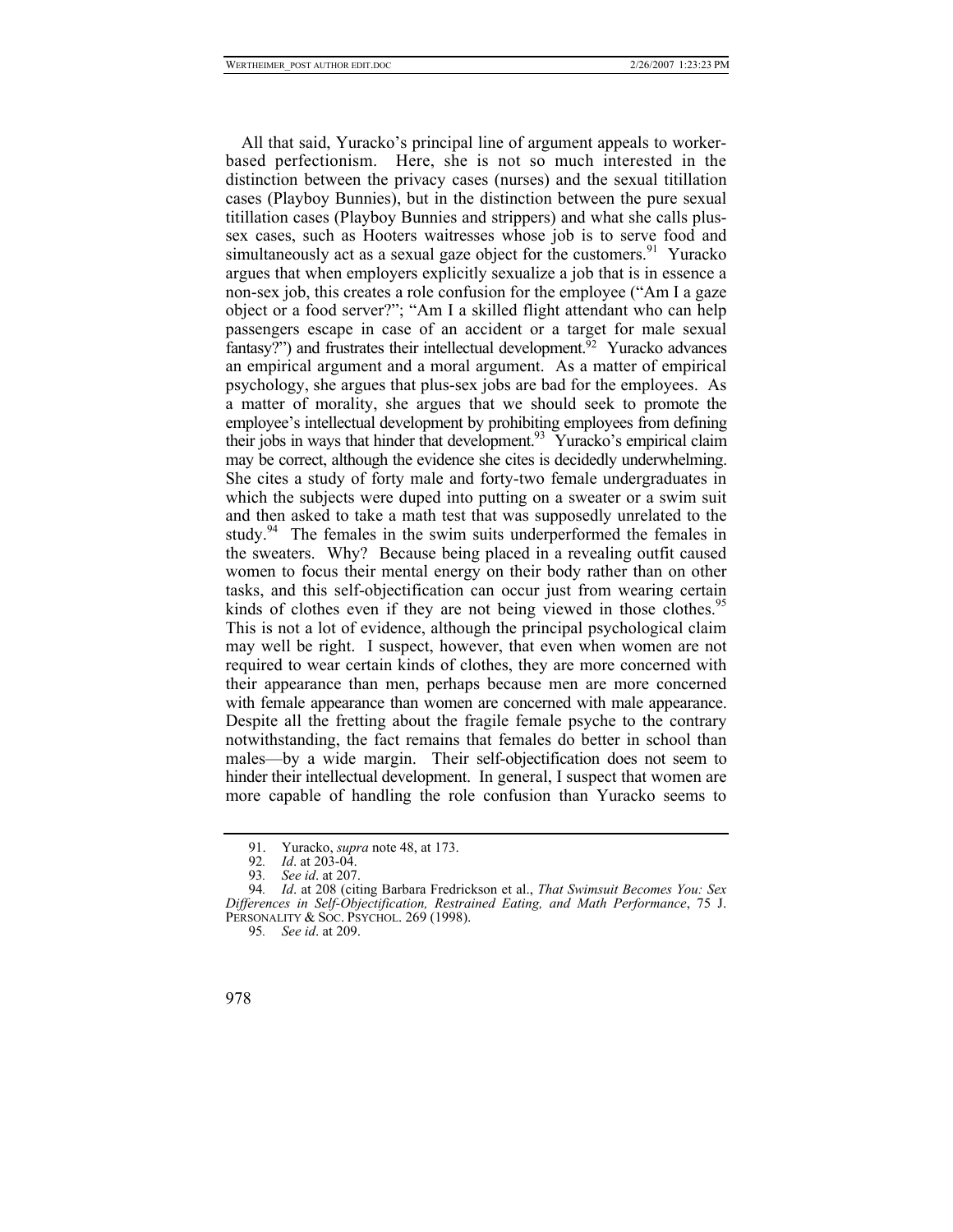All that said, Yuracko's principal line of argument appeals to workerbased perfectionism. Here, she is not so much interested in the distinction between the privacy cases (nurses) and the sexual titillation cases (Playboy Bunnies), but in the distinction between the pure sexual titillation cases (Playboy Bunnies and strippers) and what she calls plussex cases, such as Hooters waitresses whose job is to serve food and simultaneously act as a sexual gaze object for the customers.<sup>91</sup> Yuracko argues that when employers explicitly sexualize a job that is in essence a non-sex job, this creates a role confusion for the employee ("Am I a gaze object or a food server?"; "Am I a skilled flight attendant who can help passengers escape in case of an accident or a target for male sexual fantasy?") and frustrates their intellectual development.<sup>[92](#page-33-1)</sup> Yuracko advances an empirical argument and a moral argument. As a matter of empirical psychology, she argues that plus-sex jobs are bad for the employees. As a matter of morality, she argues that we should seek to promote the employee's intellectual development by prohibiting employees from defining their jobs in ways that hinder that development.<sup>93</sup> Yuracko's empirical claim may be correct, although the evidence she cites is decidedly underwhelming. She cites a study of forty male and forty-two female undergraduates in which the subjects were duped into putting on a sweater or a swim suit and then asked to take a math test that was supposedly unrelated to the study.<sup>94</sup> The females in the swim suits underperformed the females in the sweaters. Why? Because being placed in a revealing outfit caused women to focus their mental energy on their body rather than on other tasks, and this self-objectification can occur just from wearing certain kinds of clothes even if they are not being viewed in those clothes.<sup>95</sup> This is not a lot of evidence, although the principal psychological claim may well be right. I suspect, however, that even when women are not required to wear certain kinds of clothes, they are more concerned with their appearance than men, perhaps because men are more concerned with female appearance than women are concerned with male appearance. Despite all the fretting about the fragile female psyche to the contrary notwithstanding, the fact remains that females do better in school than males—by a wide margin. Their self-objectification does not seem to hinder their intellectual development. In general, I suspect that women are more capable of handling the role confusion than Yuracko seems to

<span id="page-33-0"></span><sup>91.</sup> Yuracko, *supra* note 48, at 173.

<span id="page-33-1"></span><sup>92</sup>*. Id*. at 203-04.

<span id="page-33-3"></span><span id="page-33-2"></span><sup>93</sup>*. See id*. at 207.

<sup>94</sup>*. Id*. at 208 (citing Barbara Fredrickson et al., *That Swimsuit Becomes You: Sex Differences in Self-Objectification, Restrained Eating, and Math Performance*, 75 J. PERSONALITY & SOC. PSYCHOL. 269 (1998).

<span id="page-33-4"></span><sup>95</sup>*. See id*. at 209.

<sup>978</sup>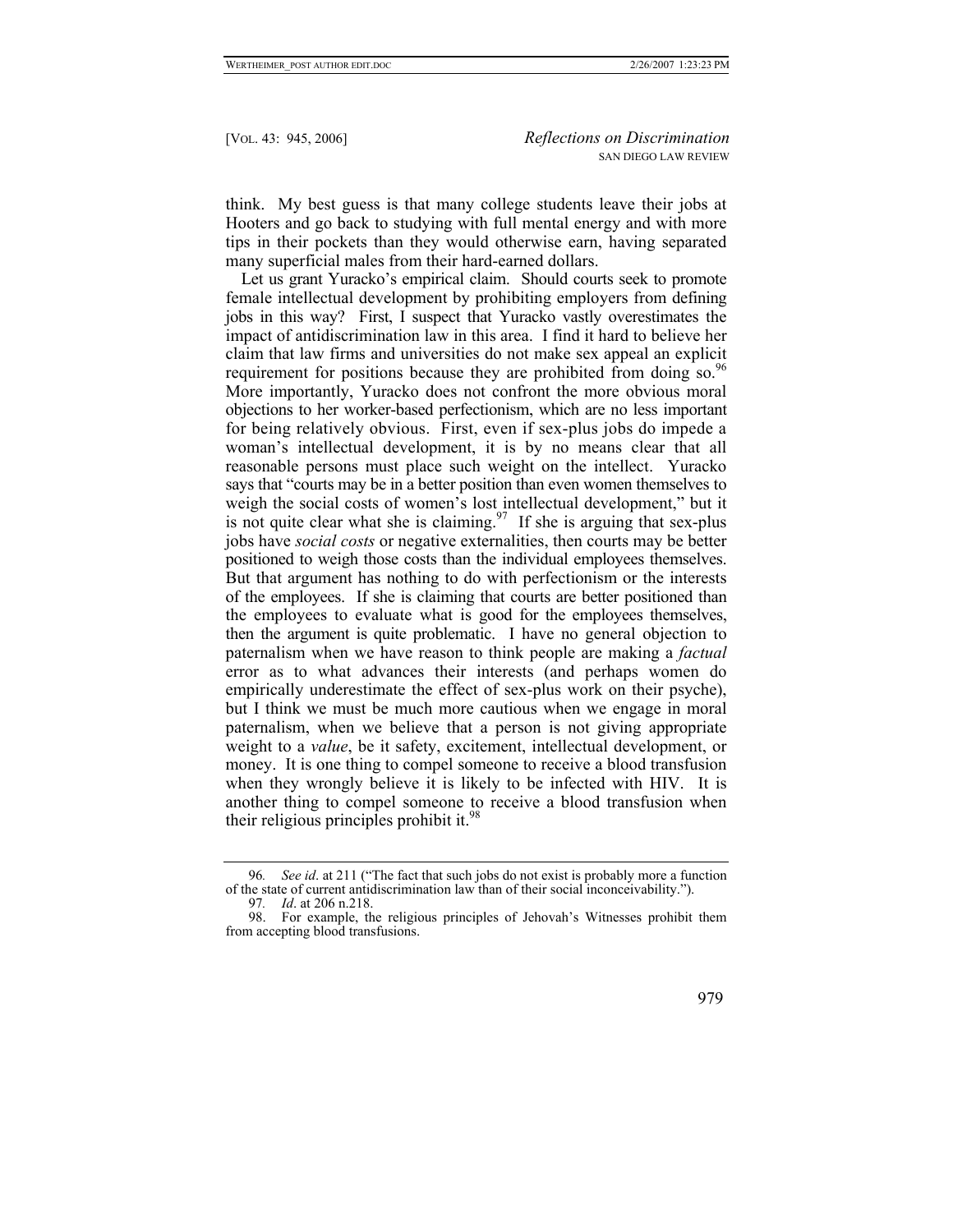think. My best guess is that many college students leave their jobs at Hooters and go back to studying with full mental energy and with more tips in their pockets than they would otherwise earn, having separated many superficial males from their hard-earned dollars.

Let us grant Yuracko's empirical claim. Should courts seek to promote female intellectual development by prohibiting employers from defining jobs in this way? First, I suspect that Yuracko vastly overestimates the impact of antidiscrimination law in this area. I find it hard to believe her claim that law firms and universities do not make sex appeal an explicit requirement for positions because they are prohibited from doing so.<sup>96</sup> More importantly, Yuracko does not confront the more obvious moral objections to her worker-based perfectionism, which are no less important for being relatively obvious. First, even if sex-plus jobs do impede a woman's intellectual development, it is by no means clear that all reasonable persons must place such weight on the intellect. Yuracko says that "courts may be in a better position than even women themselves to weigh the social costs of women's lost intellectual development," but it is not quite clear what she is claiming.<sup>97</sup> If she is arguing that sex-plus jobs have *social costs* or negative externalities, then courts may be better positioned to weigh those costs than the individual employees themselves. But that argument has nothing to do with perfectionism or the interests of the employees. If she is claiming that courts are better positioned than the employees to evaluate what is good for the employees themselves, then the argument is quite problematic. I have no general objection to paternalism when we have reason to think people are making a *factual* error as to what advances their interests (and perhaps women do empirically underestimate the effect of sex-plus work on their psyche), but I think we must be much more cautious when we engage in moral paternalism, when we believe that a person is not giving appropriate weight to a *value*, be it safety, excitement, intellectual development, or money. It is one thing to compel someone to receive a blood transfusion when they wrongly believe it is likely to be infected with HIV. It is another thing to compel someone to receive a blood transfusion when their religious principles prohibit it.<sup>[98](#page-34-2)</sup>

<sup>98.</sup> For example, the religious principles of Jehovah's Witnesses prohibit them from accepting blood transfusions.



<span id="page-34-0"></span><sup>96</sup>*. See id*. at 211 ("The fact that such jobs do not exist is probably more a function of the state of current antidiscrimination law than of their social inconceivability.").

<span id="page-34-2"></span><span id="page-34-1"></span><sup>97</sup>*. Id*. at 206 n.218.